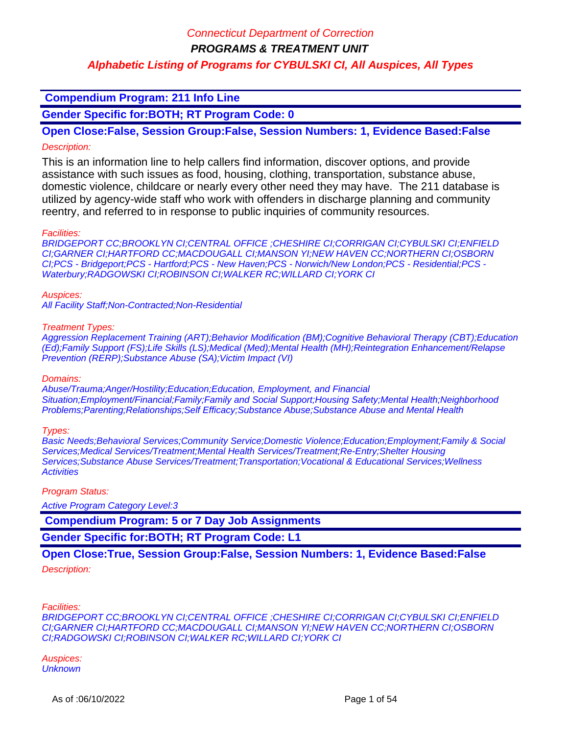### **Compendium Program: 211 Info Line**

**Gender Specific for:BOTH; RT Program Code: 0**

**Open Close:False, Session Group:False, Session Numbers: 1, Evidence Based:False** Description:

This is an information line to help callers find information, discover options, and provide assistance with such issues as food, housing, clothing, transportation, substance abuse, domestic violence, childcare or nearly every other need they may have. The 211 database is utilized by agency-wide staff who work with offenders in discharge planning and community reentry, and referred to in response to public inquiries of community resources.

#### Facilities:

BRIDGEPORT CC;BROOKLYN CI;CENTRAL OFFICE ;CHESHIRE CI;CORRIGAN CI;CYBULSKI CI;ENFIELD CI;GARNER CI;HARTFORD CC;MACDOUGALL CI;MANSON YI;NEW HAVEN CC;NORTHERN CI;OSBORN CI;PCS - Bridgeport;PCS - Hartford;PCS - New Haven;PCS - Norwich/New London;PCS - Residential;PCS - Waterbury;RADGOWSKI CI;ROBINSON CI;WALKER RC;WILLARD CI;YORK CI

#### Auspices:

All Facility Staff;Non-Contracted;Non-Residential

#### Treatment Types:

Aggression Replacement Training (ART);Behavior Modification (BM);Cognitive Behavioral Therapy (CBT);Education (Ed);Family Support (FS);Life Skills (LS);Medical (Med);Mental Health (MH);Reintegration Enhancement/Relapse Prevention (RERP);Substance Abuse (SA);Victim Impact (VI)

#### Domains:

Abuse/Trauma;Anger/Hostility;Education;Education, Employment, and Financial Situation;Employment/Financial;Family;Family and Social Support;Housing Safety;Mental Health;Neighborhood Problems;Parenting;Relationships;Self Efficacy;Substance Abuse;Substance Abuse and Mental Health

#### Types:

Basic Needs;Behavioral Services;Community Service;Domestic Violence;Education;Employment;Family & Social Services;Medical Services/Treatment;Mental Health Services/Treatment;Re-Entry;Shelter Housing Services; Substance Abuse Services/Treatment; Transportation; Vocational & Educational Services; Wellness **Activities** 

#### Program Status:

Active Program Category Level:3

 **Compendium Program: 5 or 7 Day Job Assignments**

**Gender Specific for:BOTH; RT Program Code: L1**

### **Open Close:True, Session Group:False, Session Numbers: 1, Evidence Based:False**

#### Description:

Facilities:

BRIDGEPORT CC;BROOKLYN CI;CENTRAL OFFICE ;CHESHIRE CI;CORRIGAN CI;CYBULSKI CI;ENFIELD CI;GARNER CI;HARTFORD CC;MACDOUGALL CI;MANSON YI;NEW HAVEN CC;NORTHERN CI;OSBORN CI;RADGOWSKI CI;ROBINSON CI;WALKER RC;WILLARD CI;YORK CI

Auspices: **Unknown**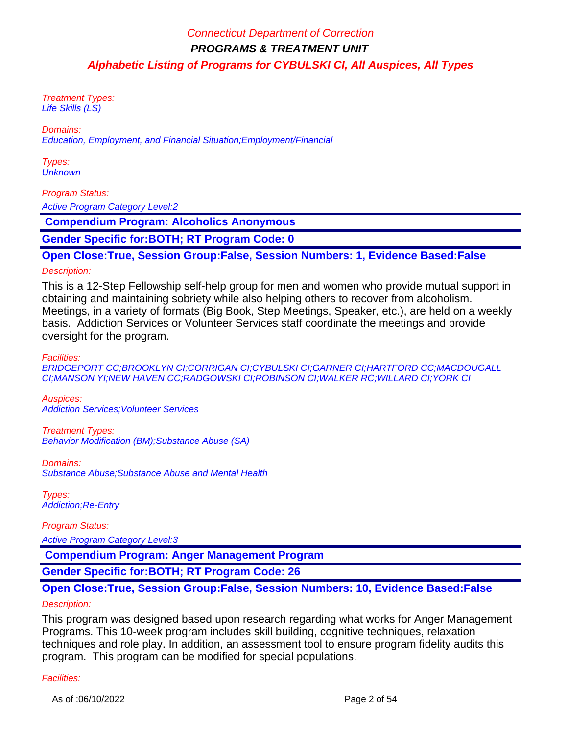Treatment Types: Life Skills (LS)

Domains:

Education, Employment, and Financial Situation;Employment/Financial

Types: **Unknown** 

### Program Status:

Active Program Category Level:2

 **Compendium Program: Alcoholics Anonymous**

**Gender Specific for:BOTH; RT Program Code: 0**

### **Open Close:True, Session Group:False, Session Numbers: 1, Evidence Based:False**

#### Description:

This is a 12-Step Fellowship self-help group for men and women who provide mutual support in obtaining and maintaining sobriety while also helping others to recover from alcoholism. Meetings, in a variety of formats (Big Book, Step Meetings, Speaker, etc.), are held on a weekly basis. Addiction Services or Volunteer Services staff coordinate the meetings and provide oversight for the program.

Facilities:

BRIDGEPORT CC;BROOKLYN CI;CORRIGAN CI;CYBULSKI CI;GARNER CI;HARTFORD CC;MACDOUGALL CI;MANSON YI;NEW HAVEN CC;RADGOWSKI CI;ROBINSON CI;WALKER RC;WILLARD CI;YORK CI

Auspices: Addiction Services;Volunteer Services

Treatment Types: Behavior Modification (BM);Substance Abuse (SA)

Domains: Substance Abuse;Substance Abuse and Mental Health

Types: Addiction;Re-Entry

Program Status: Active Program Category Level:3

 **Compendium Program: Anger Management Program**

**Gender Specific for:BOTH; RT Program Code: 26**

### **Open Close:True, Session Group:False, Session Numbers: 10, Evidence Based:False**

#### Description:

This program was designed based upon research regarding what works for Anger Management Programs. This 10-week program includes skill building, cognitive techniques, relaxation techniques and role play. In addition, an assessment tool to ensure program fidelity audits this program. This program can be modified for special populations.

#### Facilities: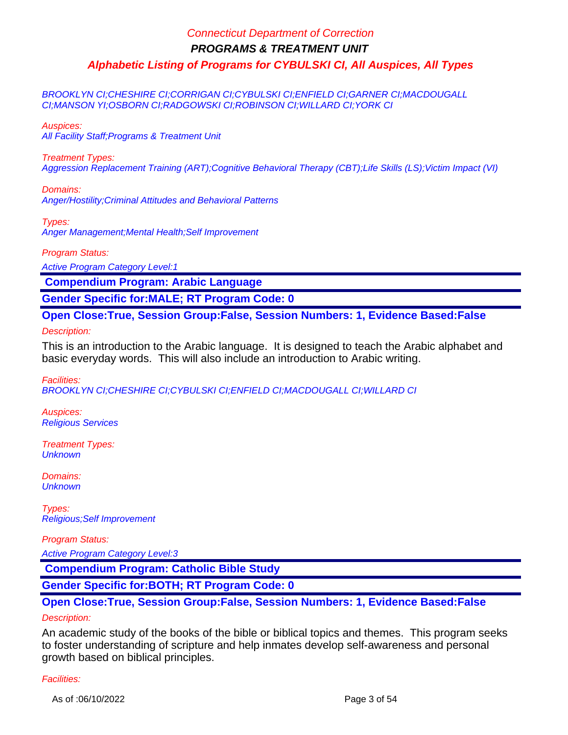BROOKLYN CI;CHESHIRE CI;CORRIGAN CI;CYBULSKI CI;ENFIELD CI;GARNER CI;MACDOUGALL CI;MANSON YI;OSBORN CI;RADGOWSKI CI;ROBINSON CI;WILLARD CI;YORK CI

Auspices:

All Facility Staff;Programs & Treatment Unit

Treatment Types:

Aggression Replacement Training (ART);Cognitive Behavioral Therapy (CBT);Life Skills (LS);Victim Impact (VI)

Domains: Anger/Hostility;Criminal Attitudes and Behavioral Patterns

Types: Anger Management;Mental Health;Self Improvement

Program Status:

Active Program Category Level:1

 **Compendium Program: Arabic Language**

**Gender Specific for:MALE; RT Program Code: 0**

**Open Close:True, Session Group:False, Session Numbers: 1, Evidence Based:False**

Description:

This is an introduction to the Arabic language. It is designed to teach the Arabic alphabet and basic everyday words. This will also include an introduction to Arabic writing.

Facilities:

BROOKLYN CI;CHESHIRE CI;CYBULSKI CI;ENFIELD CI;MACDOUGALL CI;WILLARD CI

Auspices: Religious Services

Treatment Types: **Unknown** 

Domains: **Unknown** 

Types: Religious;Self Improvement

Program Status:

Active Program Category Level:3

 **Compendium Program: Catholic Bible Study**

**Gender Specific for:BOTH; RT Program Code: 0**

### **Open Close:True, Session Group:False, Session Numbers: 1, Evidence Based:False** Description:

An academic study of the books of the bible or biblical topics and themes. This program seeks to foster understanding of scripture and help inmates develop self-awareness and personal growth based on biblical principles.

### Facilities:

As of :06/10/2022 Page 3 of 54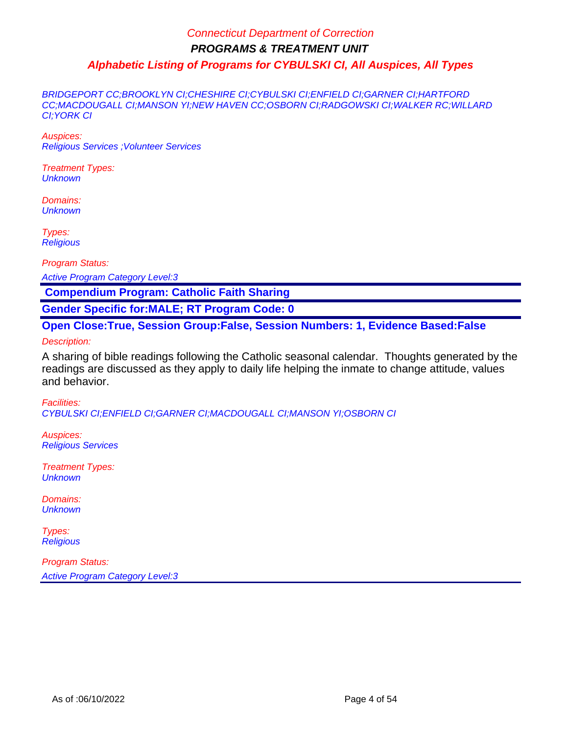BRIDGEPORT CC;BROOKLYN CI;CHESHIRE CI;CYBULSKI CI;ENFIELD CI;GARNER CI;HARTFORD CC;MACDOUGALL CI;MANSON YI;NEW HAVEN CC;OSBORN CI;RADGOWSKI CI;WALKER RC;WILLARD CI;YORK CI

Auspices: Religious Services ;Volunteer Services

Treatment Types: **Unknown** 

Domains: **Unknown** 

Types: **Religious** 

Program Status:

Active Program Category Level:3

 **Compendium Program: Catholic Faith Sharing**

**Gender Specific for:MALE; RT Program Code: 0**

**Open Close:True, Session Group:False, Session Numbers: 1, Evidence Based:False**

Description:

A sharing of bible readings following the Catholic seasonal calendar. Thoughts generated by the readings are discussed as they apply to daily life helping the inmate to change attitude, values and behavior.

Facilities: CYBULSKI CI;ENFIELD CI;GARNER CI;MACDOUGALL CI;MANSON YI;OSBORN CI

Auspices: Religious Services

Treatment Types: **Unknown** 

Domains: **Unknown** 

Types: **Religious**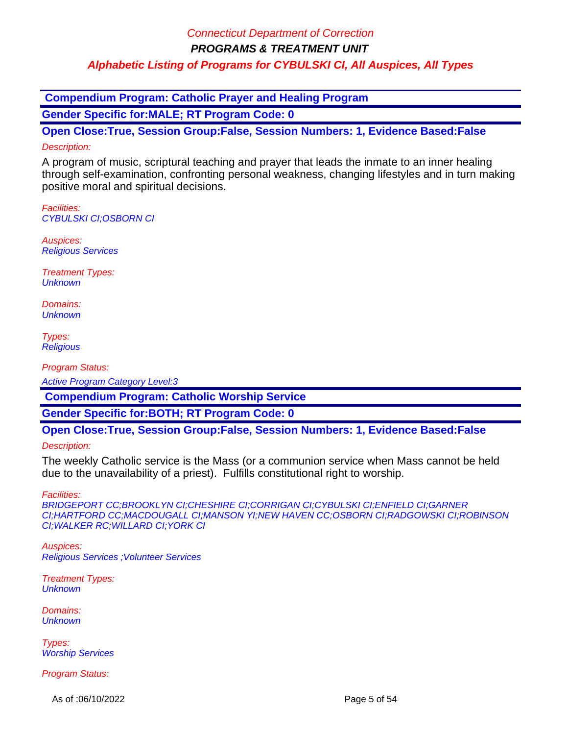**PROGRAMS & TREATMENT UNIT**

### **Alphabetic Listing of Programs for CYBULSKI CI, All Auspices, All Types**

 **Compendium Program: Catholic Prayer and Healing Program Gender Specific for:MALE; RT Program Code: 0**

**Open Close:True, Session Group:False, Session Numbers: 1, Evidence Based:False**

### Description:

A program of music, scriptural teaching and prayer that leads the inmate to an inner healing through self-examination, confronting personal weakness, changing lifestyles and in turn making positive moral and spiritual decisions.

Facilities: CYBULSKI CI;OSBORN CI

Auspices: Religious Services

Treatment Types: **Unknown** 

Domains: **Unknown** 

Types: **Religious** 

Program Status:

Active Program Category Level:3

 **Compendium Program: Catholic Worship Service**

**Gender Specific for:BOTH; RT Program Code: 0**

**Open Close:True, Session Group:False, Session Numbers: 1, Evidence Based:False**

Description:

The weekly Catholic service is the Mass (or a communion service when Mass cannot be held due to the unavailability of a priest). Fulfills constitutional right to worship.

Facilities:

BRIDGEPORT CC;BROOKLYN CI;CHESHIRE CI;CORRIGAN CI;CYBULSKI CI;ENFIELD CI;GARNER CI;HARTFORD CC;MACDOUGALL CI;MANSON YI;NEW HAVEN CC;OSBORN CI;RADGOWSKI CI;ROBINSON CI;WALKER RC;WILLARD CI;YORK CI

Auspices: Religious Services ;Volunteer Services

Treatment Types: **Unknown** 

Domains: **Unknown** 

Types: Worship Services

Program Status:

As of :06/10/2022 Page 5 of 54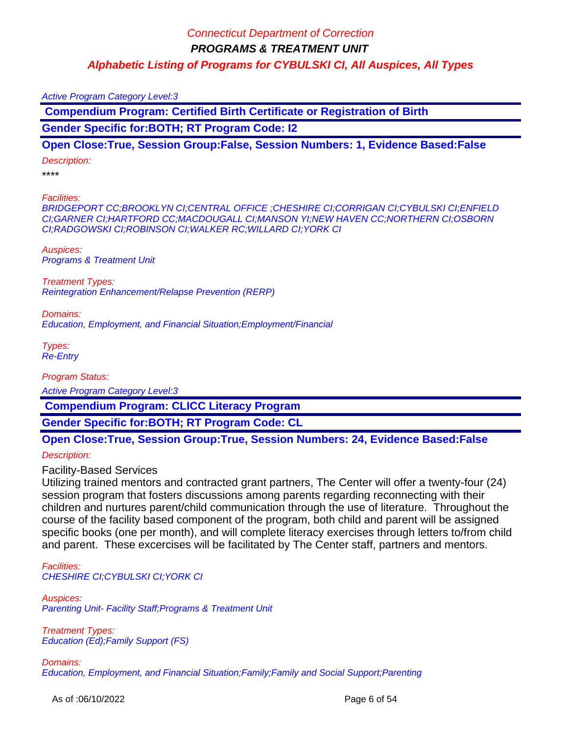Active Program Category Level:3

 **Compendium Program: Certified Birth Certificate or Registration of Birth**

**Gender Specific for:BOTH; RT Program Code: I2**

**Open Close:True, Session Group:False, Session Numbers: 1, Evidence Based:False**

Description:

\*\*\*\*

Facilities:

BRIDGEPORT CC;BROOKLYN CI;CENTRAL OFFICE ;CHESHIRE CI;CORRIGAN CI;CYBULSKI CI;ENFIELD CI;GARNER CI;HARTFORD CC;MACDOUGALL CI;MANSON YI;NEW HAVEN CC;NORTHERN CI;OSBORN CI;RADGOWSKI CI;ROBINSON CI;WALKER RC;WILLARD CI;YORK CI

Auspices: Programs & Treatment Unit

Treatment Types: Reintegration Enhancement/Relapse Prevention (RERP)

Domains: Education, Employment, and Financial Situation;Employment/Financial

Types: Re-Entry

Program Status:

Active Program Category Level:3

 **Compendium Program: CLICC Literacy Program**

**Gender Specific for:BOTH; RT Program Code: CL**

**Open Close:True, Session Group:True, Session Numbers: 24, Evidence Based:False**

Description:

Facility-Based Services

Utilizing trained mentors and contracted grant partners, The Center will offer a twenty-four (24) session program that fosters discussions among parents regarding reconnecting with their children and nurtures parent/child communication through the use of literature. Throughout the course of the facility based component of the program, both child and parent will be assigned specific books (one per month), and will complete literacy exercises through letters to/from child and parent. These excercises will be facilitated by The Center staff, partners and mentors.

Facilities: CHESHIRE CI;CYBULSKI CI;YORK CI

Auspices: Parenting Unit- Facility Staff;Programs & Treatment Unit

Treatment Types: Education (Ed);Family Support (FS)

Domains: Education, Employment, and Financial Situation;Family;Family and Social Support;Parenting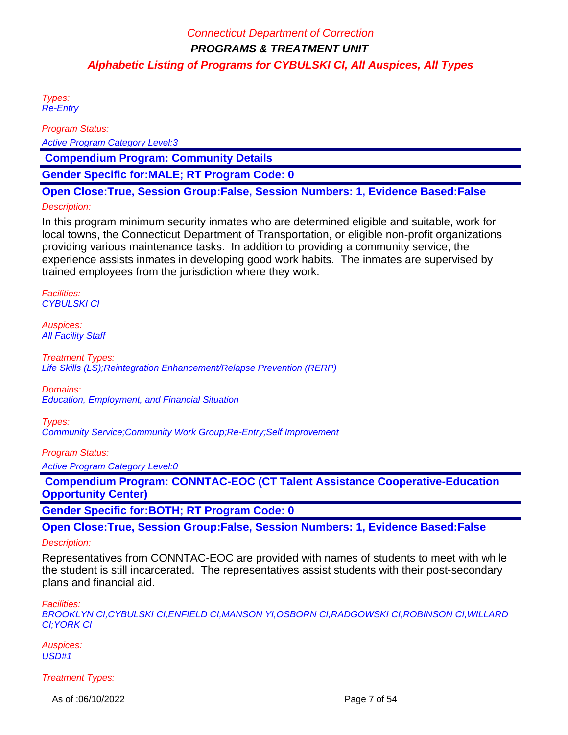Types: Re-Entry

Program Status:

Active Program Category Level:3

 **Compendium Program: Community Details**

**Gender Specific for:MALE; RT Program Code: 0**

**Open Close:True, Session Group:False, Session Numbers: 1, Evidence Based:False**

#### Description:

In this program minimum security inmates who are determined eligible and suitable, work for local towns, the Connecticut Department of Transportation, or eligible non-profit organizations providing various maintenance tasks. In addition to providing a community service, the experience assists inmates in developing good work habits. The inmates are supervised by trained employees from the jurisdiction where they work.

Facilities: CYBULSKI CI

Auspices: **All Facility Staff** 

Treatment Types: Life Skills (LS);Reintegration Enhancement/Relapse Prevention (RERP)

Domains:

Education, Employment, and Financial Situation

Types:

Community Service;Community Work Group;Re-Entry;Self Improvement

Program Status:

Active Program Category Level:0

 **Compendium Program: CONNTAC-EOC (CT Talent Assistance Cooperative-Education Opportunity Center)**

**Gender Specific for:BOTH; RT Program Code: 0**

**Open Close:True, Session Group:False, Session Numbers: 1, Evidence Based:False**

#### Description:

Representatives from CONNTAC-EOC are provided with names of students to meet with while the student is still incarcerated. The representatives assist students with their post-secondary plans and financial aid.

Facilities:

BROOKLYN CI;CYBULSKI CI;ENFIELD CI;MANSON YI;OSBORN CI;RADGOWSKI CI;ROBINSON CI;WILLARD CI;YORK CI

Auspices: USD#1

Treatment Types:

As of :06/10/2022 Page 7 of 54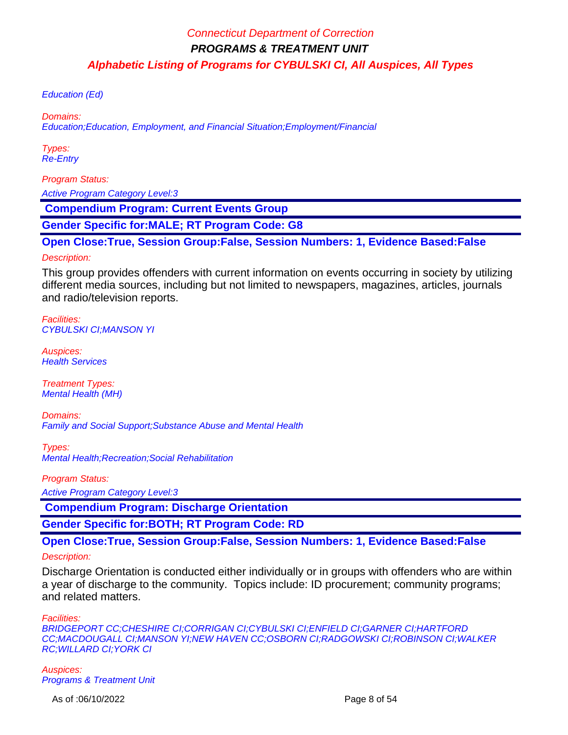Education (Ed)

Domains:

Education;Education, Employment, and Financial Situation;Employment/Financial

Types: Re-Entry

Program Status:

Active Program Category Level:3

 **Compendium Program: Current Events Group**

**Gender Specific for:MALE; RT Program Code: G8**

**Open Close:True, Session Group:False, Session Numbers: 1, Evidence Based:False**

#### Description:

This group provides offenders with current information on events occurring in society by utilizing different media sources, including but not limited to newspapers, magazines, articles, journals and radio/television reports.

Facilities: CYBULSKI CI;MANSON YI

Auspices: **Health Services** 

Treatment Types: Mental Health (MH)

Domains: Family and Social Support;Substance Abuse and Mental Health

Types: Mental Health;Recreation;Social Rehabilitation

Program Status:

Active Program Category Level:3

 **Compendium Program: Discharge Orientation**

**Gender Specific for:BOTH; RT Program Code: RD**

**Open Close:True, Session Group:False, Session Numbers: 1, Evidence Based:False**

#### Description:

Discharge Orientation is conducted either individually or in groups with offenders who are within a year of discharge to the community. Topics include: ID procurement; community programs; and related matters.

Facilities:

BRIDGEPORT CC;CHESHIRE CI;CORRIGAN CI;CYBULSKI CI;ENFIELD CI;GARNER CI;HARTFORD CC;MACDOUGALL CI;MANSON YI;NEW HAVEN CC;OSBORN CI;RADGOWSKI CI;ROBINSON CI;WALKER RC;WILLARD CI;YORK CI

Auspices: Programs & Treatment Unit

As of :06/10/2022 Page 8 of 54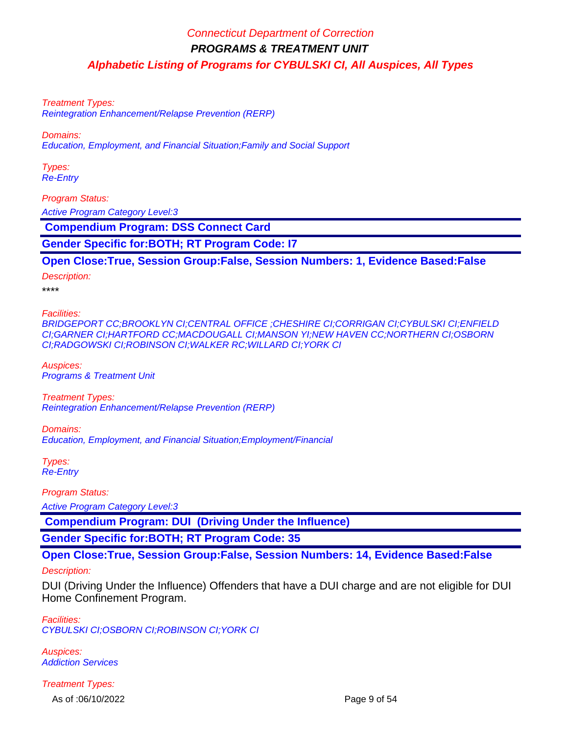Treatment Types:

Reintegration Enhancement/Relapse Prevention (RERP)

Domains:

Education, Employment, and Financial Situation;Family and Social Support

Types: Re-Entry

Program Status:

Active Program Category Level:3

 **Compendium Program: DSS Connect Card**

**Gender Specific for:BOTH; RT Program Code: I7**

**Open Close:True, Session Group:False, Session Numbers: 1, Evidence Based:False**

Description:

\*\*\*\*

Facilities:

BRIDGEPORT CC;BROOKLYN CI;CENTRAL OFFICE ;CHESHIRE CI;CORRIGAN CI;CYBULSKI CI;ENFIELD CI;GARNER CI;HARTFORD CC;MACDOUGALL CI;MANSON YI;NEW HAVEN CC;NORTHERN CI;OSBORN CI;RADGOWSKI CI;ROBINSON CI;WALKER RC;WILLARD CI;YORK CI

Auspices: Programs & Treatment Unit

Treatment Types: Reintegration Enhancement/Relapse Prevention (RERP)

Domains: Education, Employment, and Financial Situation;Employment/Financial

Types: Re-Entry

Program Status:

Active Program Category Level:3

 **Compendium Program: DUI (Driving Under the Influence)**

**Gender Specific for:BOTH; RT Program Code: 35**

**Open Close:True, Session Group:False, Session Numbers: 14, Evidence Based:False**

#### Description:

DUI (Driving Under the Influence) Offenders that have a DUI charge and are not eligible for DUI Home Confinement Program.

Facilities: CYBULSKI CI;OSBORN CI;ROBINSON CI;YORK CI

Auspices: Addiction Services

Treatment Types: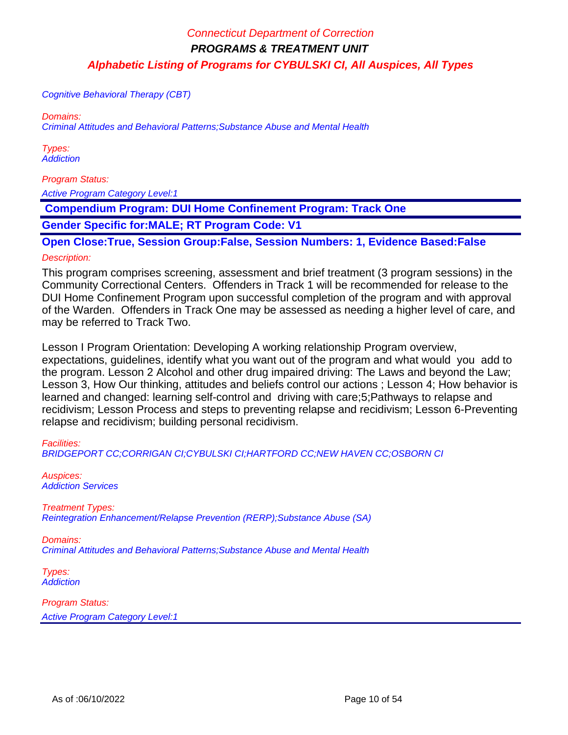Cognitive Behavioral Therapy (CBT)

Domains:

Criminal Attitudes and Behavioral Patterns;Substance Abuse and Mental Health

Types: **Addiction** 

Program Status:

Active Program Category Level:1

 **Compendium Program: DUI Home Confinement Program: Track One**

**Gender Specific for:MALE; RT Program Code: V1**

**Open Close:True, Session Group:False, Session Numbers: 1, Evidence Based:False** Description:

This program comprises screening, assessment and brief treatment (3 program sessions) in the Community Correctional Centers. Offenders in Track 1 will be recommended for release to the DUI Home Confinement Program upon successful completion of the program and with approval of the Warden. Offenders in Track One may be assessed as needing a higher level of care, and may be referred to Track Two.

Lesson I Program Orientation: Developing A working relationship Program overview, expectations, guidelines, identify what you want out of the program and what would you add to the program. Lesson 2 Alcohol and other drug impaired driving: The Laws and beyond the Law; Lesson 3, How Our thinking, attitudes and beliefs control our actions ; Lesson 4; How behavior is learned and changed: learning self-control and driving with care;5;Pathways to relapse and recidivism; Lesson Process and steps to preventing relapse and recidivism; Lesson 6-Preventing relapse and recidivism; building personal recidivism.

### Facilities:

BRIDGEPORT CC;CORRIGAN CI;CYBULSKI CI;HARTFORD CC;NEW HAVEN CC;OSBORN CI

Auspices: Addiction Services

Treatment Types: Reintegration Enhancement/Relapse Prevention (RERP);Substance Abuse (SA)

Domains: Criminal Attitudes and Behavioral Patterns;Substance Abuse and Mental Health

Types: **Addiction**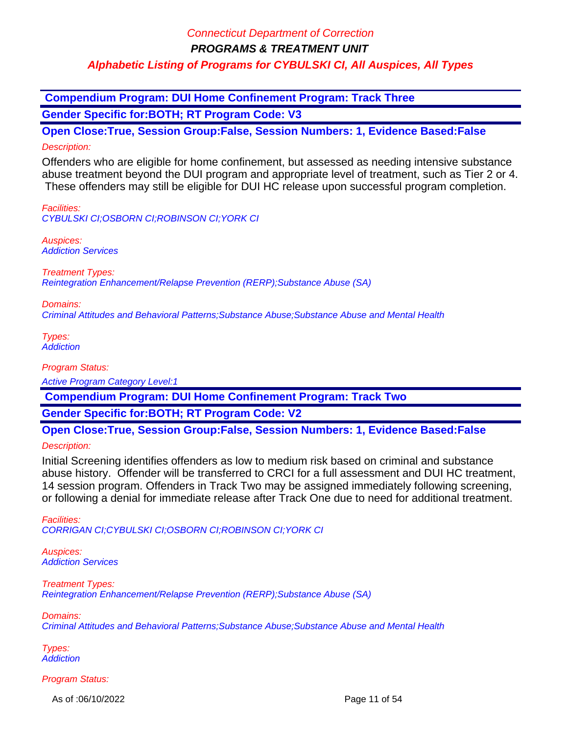**Compendium Program: DUI Home Confinement Program: Track Three Gender Specific for:BOTH; RT Program Code: V3**

**Open Close:True, Session Group:False, Session Numbers: 1, Evidence Based:False** Description:

Offenders who are eligible for home confinement, but assessed as needing intensive substance abuse treatment beyond the DUI program and appropriate level of treatment, such as Tier 2 or 4. These offenders may still be eligible for DUI HC release upon successful program completion.

Facilities: CYBULSKI CI;OSBORN CI;ROBINSON CI;YORK CI

Auspices: Addiction Services

Treatment Types: Reintegration Enhancement/Relapse Prevention (RERP);Substance Abuse (SA)

Domains: Criminal Attitudes and Behavioral Patterns;Substance Abuse;Substance Abuse and Mental Health

Types: **Addiction** 

Program Status:

Active Program Category Level:1

 **Compendium Program: DUI Home Confinement Program: Track Two**

**Gender Specific for:BOTH; RT Program Code: V2**

**Open Close:True, Session Group:False, Session Numbers: 1, Evidence Based:False**

Description:

Initial Screening identifies offenders as low to medium risk based on criminal and substance abuse history. Offender will be transferred to CRCI for a full assessment and DUI HC treatment, 14 session program. Offenders in Track Two may be assigned immediately following screening, or following a denial for immediate release after Track One due to need for additional treatment.

Facilities: CORRIGAN CI;CYBULSKI CI;OSBORN CI;ROBINSON CI;YORK CI

Auspices: Addiction Services

Treatment Types: Reintegration Enhancement/Relapse Prevention (RERP);Substance Abuse (SA)

Domains:

Criminal Attitudes and Behavioral Patterns;Substance Abuse;Substance Abuse and Mental Health

Types: **Addiction** 

Program Status:

As of :06/10/2022 **Page 11 of 54**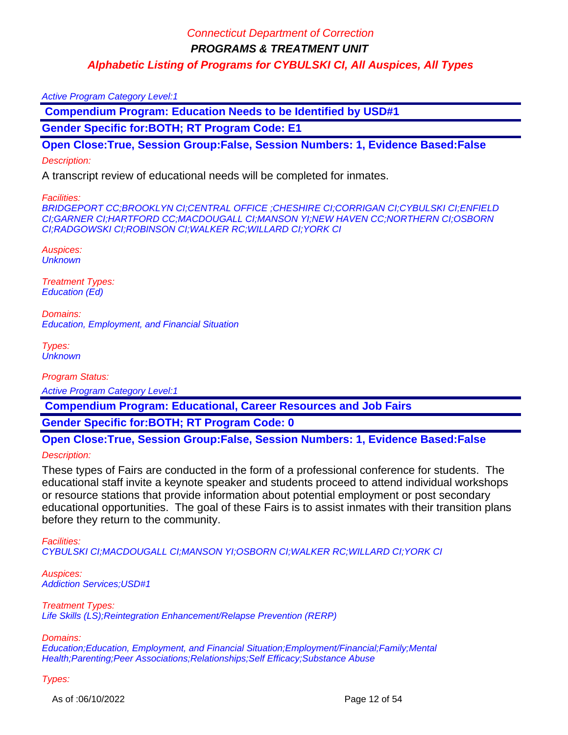#### Active Program Category Level:1

 **Compendium Program: Education Needs to be Identified by USD#1**

**Gender Specific for:BOTH; RT Program Code: E1**

**Open Close:True, Session Group:False, Session Numbers: 1, Evidence Based:False**

#### Description:

A transcript review of educational needs will be completed for inmates.

#### Facilities:

BRIDGEPORT CC;BROOKLYN CI;CENTRAL OFFICE ;CHESHIRE CI;CORRIGAN CI;CYBULSKI CI;ENFIELD CI;GARNER CI;HARTFORD CC;MACDOUGALL CI;MANSON YI;NEW HAVEN CC;NORTHERN CI;OSBORN CI;RADGOWSKI CI;ROBINSON CI;WALKER RC;WILLARD CI;YORK CI

Auspices: **Unknown** 

Treatment Types: Education (Ed)

Domains: Education, Employment, and Financial Situation

Types: **Unknown** 

Program Status:

Active Program Category Level:1

 **Compendium Program: Educational, Career Resources and Job Fairs**

**Gender Specific for:BOTH; RT Program Code: 0**

**Open Close:True, Session Group:False, Session Numbers: 1, Evidence Based:False** Description:

These types of Fairs are conducted in the form of a professional conference for students. The educational staff invite a keynote speaker and students proceed to attend individual workshops or resource stations that provide information about potential employment or post secondary educational opportunities. The goal of these Fairs is to assist inmates with their transition plans before they return to the community.

Facilities:

CYBULSKI CI;MACDOUGALL CI;MANSON YI;OSBORN CI;WALKER RC;WILLARD CI;YORK CI

Auspices: Addiction Services;USD#1

Treatment Types: Life Skills (LS); Reintegration Enhancement/Relapse Prevention (RERP)

Domains:

Education;Education, Employment, and Financial Situation;Employment/Financial;Family;Mental Health;Parenting;Peer Associations;Relationships;Self Efficacy;Substance Abuse

Types:

As of :06/10/2022 **Page 12 of 54**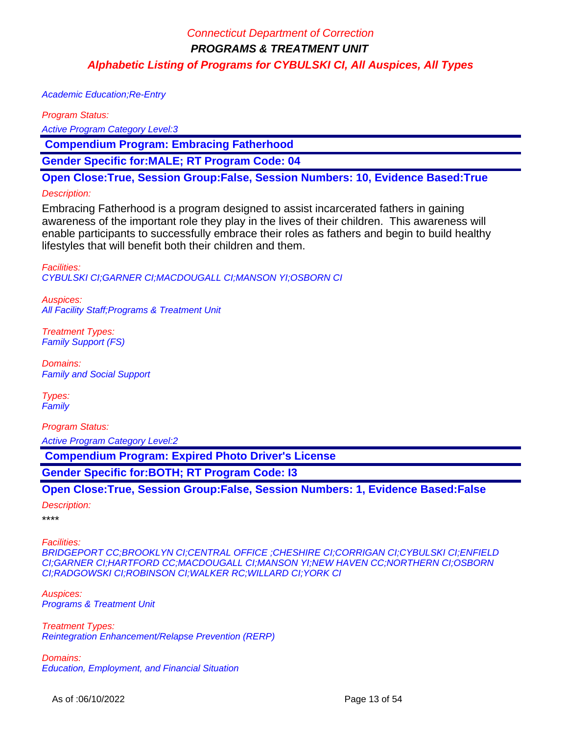Academic Education;Re-Entry

Program Status:

Active Program Category Level:3

 **Compendium Program: Embracing Fatherhood**

**Gender Specific for:MALE; RT Program Code: 04**

**Open Close:True, Session Group:False, Session Numbers: 10, Evidence Based:True**

#### Description:

Embracing Fatherhood is a program designed to assist incarcerated fathers in gaining awareness of the important role they play in the lives of their children. This awareness will enable participants to successfully embrace their roles as fathers and begin to build healthy lifestyles that will benefit both their children and them.

Facilities: CYBULSKI CI;GARNER CI;MACDOUGALL CI;MANSON YI;OSBORN CI

Auspices: All Facility Staff;Programs & Treatment Unit

Treatment Types: Family Support (FS)

Domains: Family and Social Support

Types: **Family** 

Program Status:

Active Program Category Level:2

 **Compendium Program: Expired Photo Driver's License**

**Gender Specific for:BOTH; RT Program Code: I3**

**Open Close:True, Session Group:False, Session Numbers: 1, Evidence Based:False**

Description:

\*\*\*\*

Facilities:

BRIDGEPORT CC;BROOKLYN CI;CENTRAL OFFICE ;CHESHIRE CI;CORRIGAN CI;CYBULSKI CI;ENFIELD CI;GARNER CI;HARTFORD CC;MACDOUGALL CI;MANSON YI;NEW HAVEN CC;NORTHERN CI;OSBORN CI;RADGOWSKI CI;ROBINSON CI;WALKER RC;WILLARD CI;YORK CI

Auspices: Programs & Treatment Unit

Treatment Types: Reintegration Enhancement/Relapse Prevention (RERP)

Domains: Education, Employment, and Financial Situation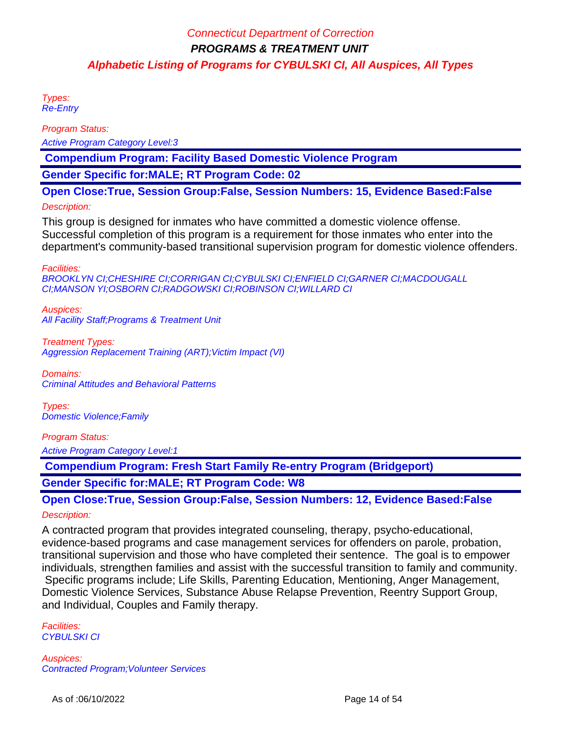Types: Re-Entry

Program Status:

Active Program Category Level:3

 **Compendium Program: Facility Based Domestic Violence Program**

**Gender Specific for:MALE; RT Program Code: 02**

**Open Close:True, Session Group:False, Session Numbers: 15, Evidence Based:False**

#### Description:

This group is designed for inmates who have committed a domestic violence offense. Successful completion of this program is a requirement for those inmates who enter into the department's community-based transitional supervision program for domestic violence offenders.

Facilities:

BROOKLYN CI;CHESHIRE CI;CORRIGAN CI;CYBULSKI CI;ENFIELD CI;GARNER CI;MACDOUGALL CI;MANSON YI;OSBORN CI;RADGOWSKI CI;ROBINSON CI;WILLARD CI

Auspices: All Facility Staff;Programs & Treatment Unit

Treatment Types: Aggression Replacement Training (ART); Victim Impact (VI)

Domains: Criminal Attitudes and Behavioral Patterns

Types: Domestic Violence;Family

### Program Status:

Active Program Category Level:1

 **Compendium Program: Fresh Start Family Re-entry Program (Bridgeport)**

### **Gender Specific for:MALE; RT Program Code: W8**

**Open Close:True, Session Group:False, Session Numbers: 12, Evidence Based:False** Description:

A contracted program that provides integrated counseling, therapy, psycho-educational, evidence-based programs and case management services for offenders on parole, probation, transitional supervision and those who have completed their sentence. The goal is to empower individuals, strengthen families and assist with the successful transition to family and community. Specific programs include; Life Skills, Parenting Education, Mentioning, Anger Management,

Domestic Violence Services, Substance Abuse Relapse Prevention, Reentry Support Group, and Individual, Couples and Family therapy.

Facilities: CYBULSKI CI

Auspices: Contracted Program;Volunteer Services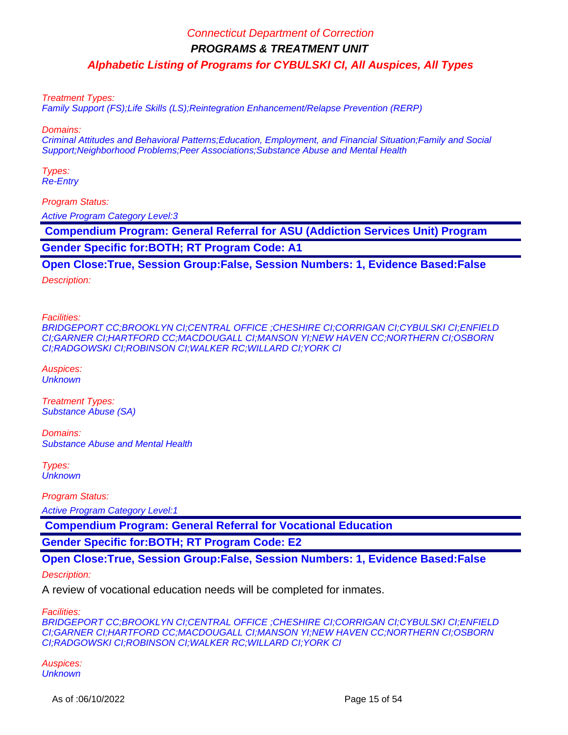**PROGRAMS & TREATMENT UNIT**

**Alphabetic Listing of Programs for CYBULSKI CI, All Auspices, All Types**

Treatment Types:

Family Support (FS);Life Skills (LS);Reintegration Enhancement/Relapse Prevention (RERP)

Domains:

Criminal Attitudes and Behavioral Patterns;Education, Employment, and Financial Situation;Family and Social Support;Neighborhood Problems;Peer Associations;Substance Abuse and Mental Health

Types: Re-Entry

Program Status:

Active Program Category Level:3

 **Compendium Program: General Referral for ASU (Addiction Services Unit) Program Gender Specific for:BOTH; RT Program Code: A1**

**Open Close:True, Session Group:False, Session Numbers: 1, Evidence Based:False**

Description:

Facilities:

BRIDGEPORT CC;BROOKLYN CI;CENTRAL OFFICE ;CHESHIRE CI;CORRIGAN CI;CYBULSKI CI;ENFIELD CI;GARNER CI;HARTFORD CC;MACDOUGALL CI;MANSON YI;NEW HAVEN CC;NORTHERN CI;OSBORN CI;RADGOWSKI CI;ROBINSON CI;WALKER RC;WILLARD CI;YORK CI

Auspices: **Unknown** 

Treatment Types: Substance Abuse (SA)

Domains: Substance Abuse and Mental Health

Types: **Unknown** 

Program Status:

Active Program Category Level:1

 **Compendium Program: General Referral for Vocational Education**

**Gender Specific for:BOTH; RT Program Code: E2**

**Open Close:True, Session Group:False, Session Numbers: 1, Evidence Based:False**

Description:

A review of vocational education needs will be completed for inmates.

Facilities:

BRIDGEPORT CC;BROOKLYN CI;CENTRAL OFFICE ;CHESHIRE CI;CORRIGAN CI;CYBULSKI CI;ENFIELD CI;GARNER CI;HARTFORD CC;MACDOUGALL CI;MANSON YI;NEW HAVEN CC;NORTHERN CI;OSBORN CI;RADGOWSKI CI;ROBINSON CI;WALKER RC;WILLARD CI;YORK CI

Auspices: **Unknown**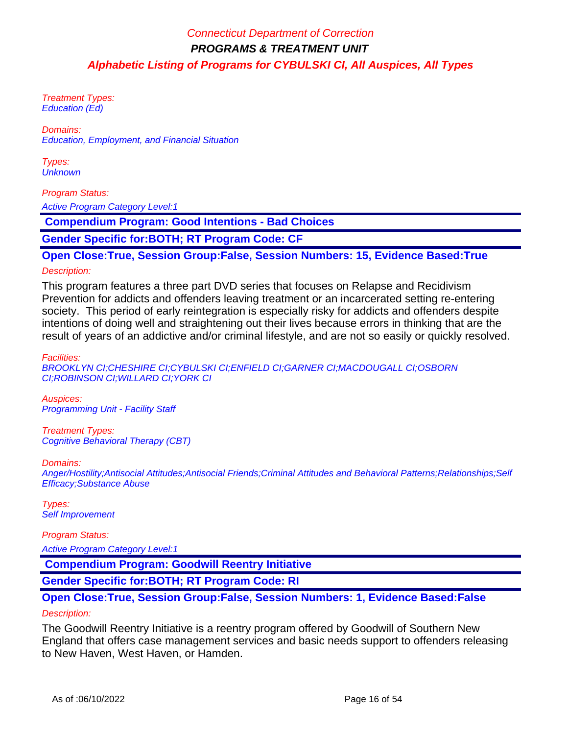Treatment Types: Education (Ed)

Domains: Education, Employment, and Financial Situation

Types: **Unknown** 

### Program Status:

Active Program Category Level:1

 **Compendium Program: Good Intentions - Bad Choices**

**Gender Specific for:BOTH; RT Program Code: CF**

### **Open Close:True, Session Group:False, Session Numbers: 15, Evidence Based:True**

#### Description:

This program features a three part DVD series that focuses on Relapse and Recidivism Prevention for addicts and offenders leaving treatment or an incarcerated setting re-entering society. This period of early reintegration is especially risky for addicts and offenders despite intentions of doing well and straightening out their lives because errors in thinking that are the result of years of an addictive and/or criminal lifestyle, and are not so easily or quickly resolved.

Facilities:

BROOKLYN CI;CHESHIRE CI;CYBULSKI CI;ENFIELD CI;GARNER CI;MACDOUGALL CI;OSBORN CI;ROBINSON CI;WILLARD CI;YORK CI

Auspices: Programming Unit - Facility Staff

Treatment Types: Cognitive Behavioral Therapy (CBT)

Domains:

Anger/Hostility;Antisocial Attitudes;Antisocial Friends;Criminal Attitudes and Behavioral Patterns;Relationships;Self Efficacy;Substance Abuse

Types: Self Improvement

Program Status:

Active Program Category Level:1

 **Compendium Program: Goodwill Reentry Initiative**

**Gender Specific for:BOTH; RT Program Code: RI**

# **Open Close:True, Session Group:False, Session Numbers: 1, Evidence Based:False**

### Description:

The Goodwill Reentry Initiative is a reentry program offered by Goodwill of Southern New England that offers case management services and basic needs support to offenders releasing to New Haven, West Haven, or Hamden.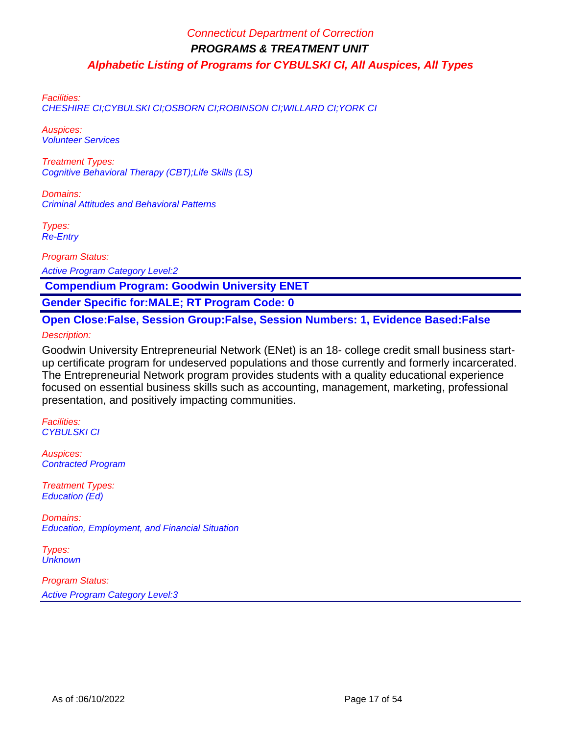Facilities:

CHESHIRE CI;CYBULSKI CI;OSBORN CI;ROBINSON CI;WILLARD CI;YORK CI

Auspices: Volunteer Services

Treatment Types: Cognitive Behavioral Therapy (CBT);Life Skills (LS)

Domains: Criminal Attitudes and Behavioral Patterns

Types: Re-Entry

Program Status:

Active Program Category Level:2

 **Compendium Program: Goodwin University ENET**

**Gender Specific for:MALE; RT Program Code: 0**

**Open Close:False, Session Group:False, Session Numbers: 1, Evidence Based:False** Description:

Goodwin University Entrepreneurial Network (ENet) is an 18- college credit small business startup certificate program for undeserved populations and those currently and formerly incarcerated. The Entrepreneurial Network program provides students with a quality educational experience focused on essential business skills such as accounting, management, marketing, professional presentation, and positively impacting communities.

Facilities: CYBULSKI CI

Auspices: Contracted Program

Treatment Types: Education (Ed)

Domains: Education, Employment, and Financial Situation

Types: **Unknown**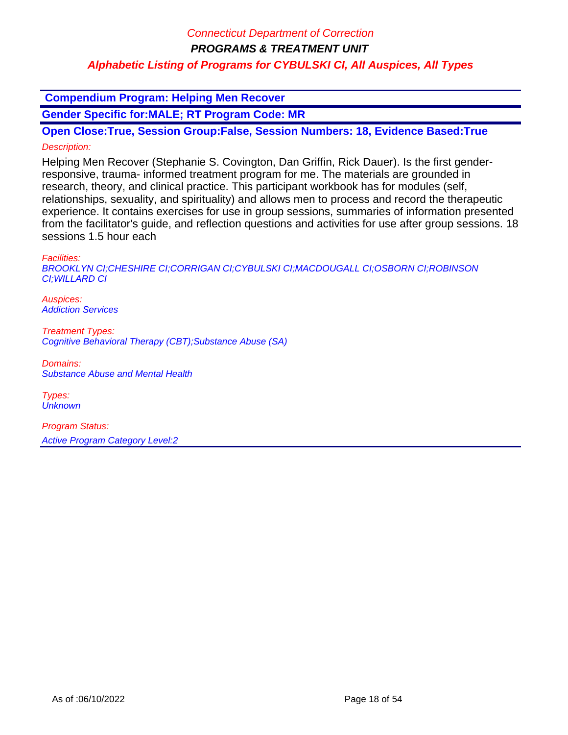**Compendium Program: Helping Men Recover**

**Gender Specific for:MALE; RT Program Code: MR**

**Open Close:True, Session Group:False, Session Numbers: 18, Evidence Based:True** Description:

Helping Men Recover (Stephanie S. Covington, Dan Griffin, Rick Dauer). Is the first genderresponsive, trauma- informed treatment program for me. The materials are grounded in research, theory, and clinical practice. This participant workbook has for modules (self, relationships, sexuality, and spirituality) and allows men to process and record the therapeutic experience. It contains exercises for use in group sessions, summaries of information presented from the facilitator's guide, and reflection questions and activities for use after group sessions. 18 sessions 1.5 hour each

Facilities:

BROOKLYN CI;CHESHIRE CI;CORRIGAN CI;CYBULSKI CI;MACDOUGALL CI;OSBORN CI;ROBINSON CI;WILLARD CI

Auspices: Addiction Services

Treatment Types: Cognitive Behavioral Therapy (CBT);Substance Abuse (SA)

Domains: Substance Abuse and Mental Health

Types: **Unknown**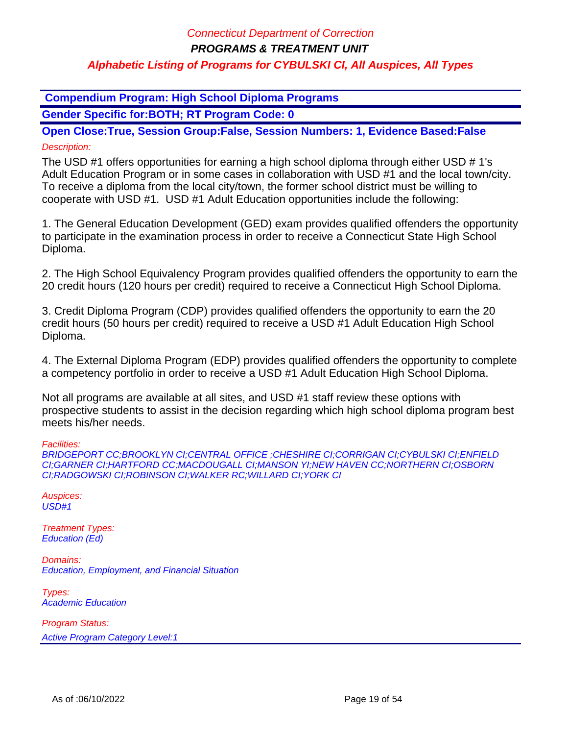**Compendium Program: High School Diploma Programs**

**Gender Specific for:BOTH; RT Program Code: 0**

**Open Close:True, Session Group:False, Session Numbers: 1, Evidence Based:False** Description:

The USD #1 offers opportunities for earning a high school diploma through either USD # 1's Adult Education Program or in some cases in collaboration with USD #1 and the local town/city. To receive a diploma from the local city/town, the former school district must be willing to cooperate with USD #1. USD #1 Adult Education opportunities include the following:

1. The General Education Development (GED) exam provides qualified offenders the opportunity to participate in the examination process in order to receive a Connecticut State High School Diploma.

2. The High School Equivalency Program provides qualified offenders the opportunity to earn the 20 credit hours (120 hours per credit) required to receive a Connecticut High School Diploma.

3. Credit Diploma Program (CDP) provides qualified offenders the opportunity to earn the 20 credit hours (50 hours per credit) required to receive a USD #1 Adult Education High School Diploma.

4. The External Diploma Program (EDP) provides qualified offenders the opportunity to complete a competency portfolio in order to receive a USD #1 Adult Education High School Diploma.

Not all programs are available at all sites, and USD #1 staff review these options with prospective students to assist in the decision regarding which high school diploma program best meets his/her needs.

Facilities:

BRIDGEPORT CC;BROOKLYN CI;CENTRAL OFFICE ;CHESHIRE CI;CORRIGAN CI;CYBULSKI CI;ENFIELD CI;GARNER CI;HARTFORD CC;MACDOUGALL CI;MANSON YI;NEW HAVEN CC;NORTHERN CI;OSBORN CI;RADGOWSKI CI;ROBINSON CI;WALKER RC;WILLARD CI;YORK CI

Auspices:  $USD#1$ 

Treatment Types: Education (Ed)

Domains: Education, Employment, and Financial Situation

Types: Academic Education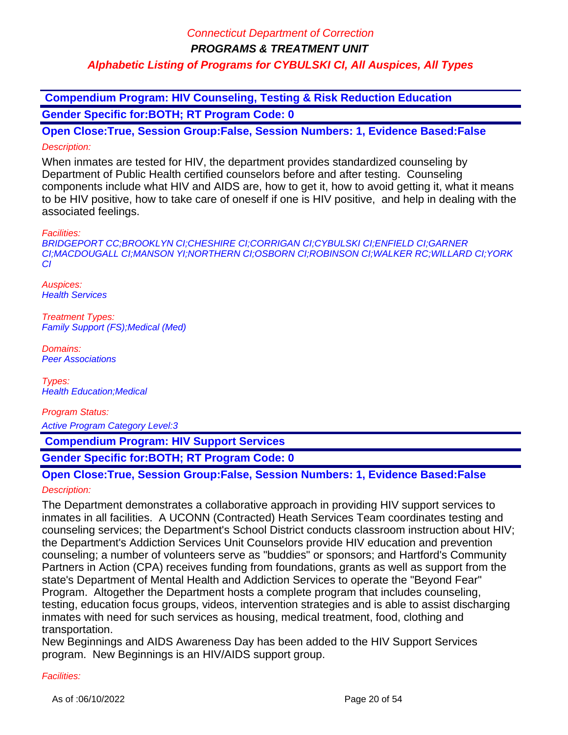**Compendium Program: HIV Counseling, Testing & Risk Reduction Education Gender Specific for:BOTH; RT Program Code: 0**

**Open Close:True, Session Group:False, Session Numbers: 1, Evidence Based:False** Description:

When inmates are tested for HIV, the department provides standardized counseling by Department of Public Health certified counselors before and after testing. Counseling components include what HIV and AIDS are, how to get it, how to avoid getting it, what it means to be HIV positive, how to take care of oneself if one is HIV positive, and help in dealing with the associated feelings.

Facilities:

BRIDGEPORT CC;BROOKLYN CI;CHESHIRE CI;CORRIGAN CI;CYBULSKI CI;ENFIELD CI;GARNER CI;MACDOUGALL CI;MANSON YI;NORTHERN CI;OSBORN CI;ROBINSON CI;WALKER RC;WILLARD CI;YORK CI

Auspices: **Health Services** 

Treatment Types: Family Support (FS);Medical (Med)

Domains: Peer Associations

Types: Health Education;Medical

Program Status:

Active Program Category Level:3

 **Compendium Program: HIV Support Services**

**Gender Specific for:BOTH; RT Program Code: 0**

# **Open Close:True, Session Group:False, Session Numbers: 1, Evidence Based:False**

### Description:

The Department demonstrates a collaborative approach in providing HIV support services to inmates in all facilities. A UCONN (Contracted) Heath Services Team coordinates testing and counseling services; the Department's School District conducts classroom instruction about HIV; the Department's Addiction Services Unit Counselors provide HIV education and prevention counseling; a number of volunteers serve as "buddies" or sponsors; and Hartford's Community Partners in Action (CPA) receives funding from foundations, grants as well as support from the state's Department of Mental Health and Addiction Services to operate the "Beyond Fear" Program. Altogether the Department hosts a complete program that includes counseling, testing, education focus groups, videos, intervention strategies and is able to assist discharging inmates with need for such services as housing, medical treatment, food, clothing and transportation.

New Beginnings and AIDS Awareness Day has been added to the HIV Support Services program. New Beginnings is an HIV/AIDS support group.

#### Facilities: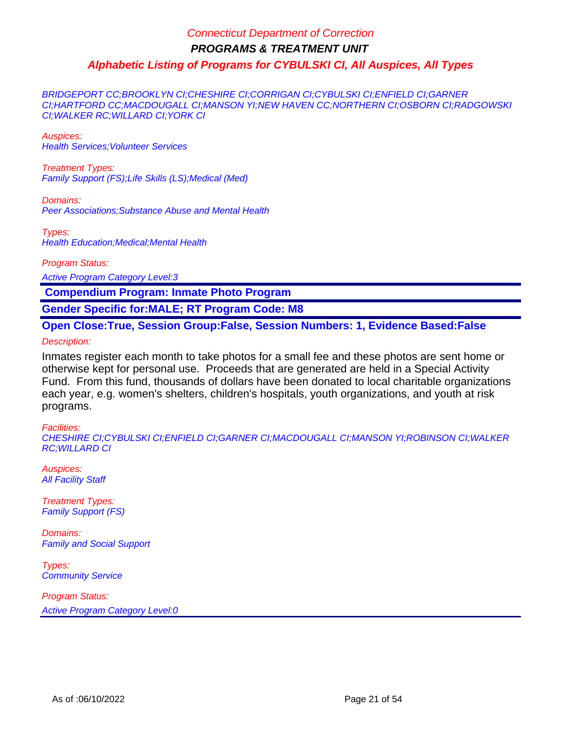BRIDGEPORT CC;BROOKLYN CI;CHESHIRE CI;CORRIGAN CI;CYBULSKI CI;ENFIELD CI;GARNER CI;HARTFORD CC;MACDOUGALL CI;MANSON YI;NEW HAVEN CC;NORTHERN CI;OSBORN CI;RADGOWSKI CI;WALKER RC;WILLARD CI;YORK CI

Auspices: Health Services;Volunteer Services

Treatment Types: Family Support (FS);Life Skills (LS);Medical (Med)

Domains: Peer Associations;Substance Abuse and Mental Health

Types: Health Education;Medical;Mental Health

Program Status:

Active Program Category Level:3

 **Compendium Program: Inmate Photo Program**

**Gender Specific for:MALE; RT Program Code: M8**

**Open Close:True, Session Group:False, Session Numbers: 1, Evidence Based:False**

Description:

Inmates register each month to take photos for a small fee and these photos are sent home or otherwise kept for personal use. Proceeds that are generated are held in a Special Activity Fund. From this fund, thousands of dollars have been donated to local charitable organizations each year, e.g. women's shelters, children's hospitals, youth organizations, and youth at risk programs.

#### Facilities:

CHESHIRE CI;CYBULSKI CI;ENFIELD CI;GARNER CI;MACDOUGALL CI;MANSON YI;ROBINSON CI;WALKER RC;WILLARD CI

Auspices: **All Facility Staff** 

Treatment Types: Family Support (FS)

Domains: Family and Social Support

Types: **Community Service**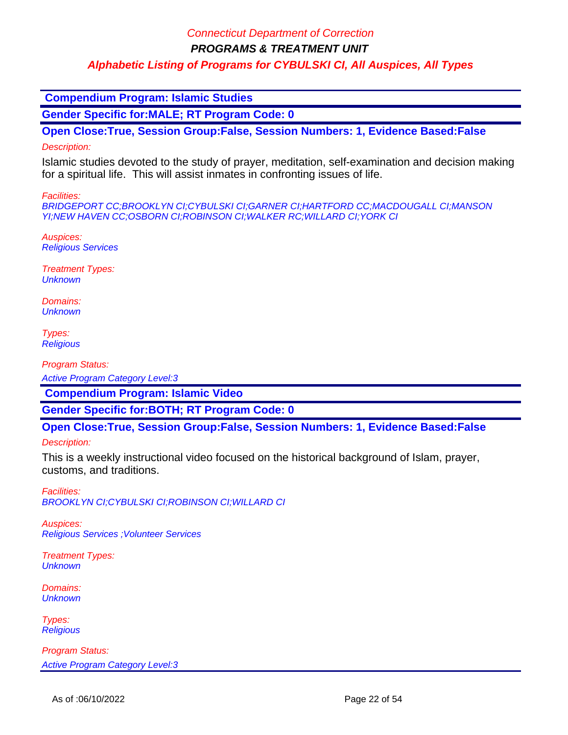**PROGRAMS & TREATMENT UNIT**

### **Alphabetic Listing of Programs for CYBULSKI CI, All Auspices, All Types**

 **Compendium Program: Islamic Studies**

**Gender Specific for:MALE; RT Program Code: 0**

**Open Close:True, Session Group:False, Session Numbers: 1, Evidence Based:False**

#### Description:

Islamic studies devoted to the study of prayer, meditation, self-examination and decision making for a spiritual life. This will assist inmates in confronting issues of life.

Facilities:

BRIDGEPORT CC;BROOKLYN CI;CYBULSKI CI;GARNER CI;HARTFORD CC;MACDOUGALL CI;MANSON YI;NEW HAVEN CC;OSBORN CI;ROBINSON CI;WALKER RC;WILLARD CI;YORK CI

Auspices: Religious Services

Treatment Types: **Unknown** 

Domains: **Unknown** 

Types: **Religious** 

Program Status:

Active Program Category Level:3

 **Compendium Program: Islamic Video**

**Gender Specific for:BOTH; RT Program Code: 0**

**Open Close:True, Session Group:False, Session Numbers: 1, Evidence Based:False**

Description:

This is a weekly instructional video focused on the historical background of Islam, prayer, customs, and traditions.

Facilities: BROOKLYN CI;CYBULSKI CI;ROBINSON CI;WILLARD CI

Auspices: Religious Services ;Volunteer Services

Treatment Types: **Unknown** 

Domains: **Unknown** 

Types: **Religious**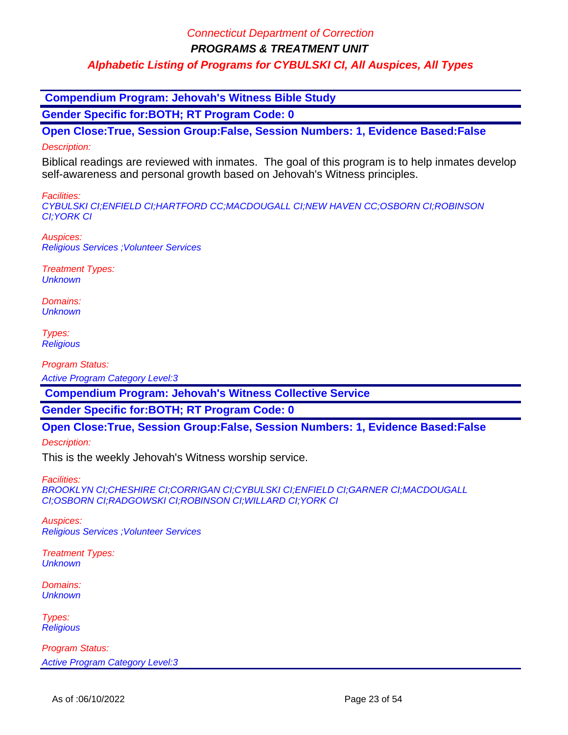**PROGRAMS & TREATMENT UNIT**

### **Alphabetic Listing of Programs for CYBULSKI CI, All Auspices, All Types**

 **Compendium Program: Jehovah's Witness Bible Study**

**Gender Specific for:BOTH; RT Program Code: 0**

**Open Close:True, Session Group:False, Session Numbers: 1, Evidence Based:False**

### Description:

Biblical readings are reviewed with inmates. The goal of this program is to help inmates develop self-awareness and personal growth based on Jehovah's Witness principles.

Facilities:

CYBULSKI CI;ENFIELD CI;HARTFORD CC;MACDOUGALL CI;NEW HAVEN CC;OSBORN CI;ROBINSON CI;YORK CI

Auspices: Religious Services ;Volunteer Services

Treatment Types: **Unknown** 

Domains: **Unknown** 

Types: **Religious** 

Program Status:

Active Program Category Level:3

 **Compendium Program: Jehovah's Witness Collective Service**

**Gender Specific for:BOTH; RT Program Code: 0**

**Open Close:True, Session Group:False, Session Numbers: 1, Evidence Based:False**

Description:

This is the weekly Jehovah's Witness worship service.

Facilities:

BROOKLYN CI;CHESHIRE CI;CORRIGAN CI;CYBULSKI CI;ENFIELD CI;GARNER CI;MACDOUGALL CI;OSBORN CI;RADGOWSKI CI;ROBINSON CI;WILLARD CI;YORK CI

Auspices: Religious Services ;Volunteer Services

Treatment Types: **Unknown** 

Domains: **Unknown** 

Types: **Religious**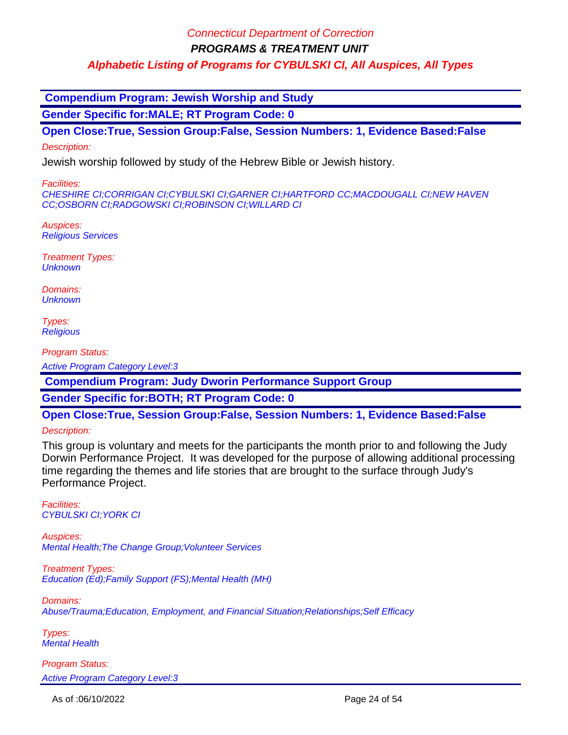**PROGRAMS & TREATMENT UNIT**

**Alphabetic Listing of Programs for CYBULSKI CI, All Auspices, All Types**

 **Compendium Program: Jewish Worship and Study**

**Gender Specific for:MALE; RT Program Code: 0**

**Open Close:True, Session Group:False, Session Numbers: 1, Evidence Based:False**

Description:

Jewish worship followed by study of the Hebrew Bible or Jewish history.

Facilities:

CHESHIRE CI;CORRIGAN CI;CYBULSKI CI;GARNER CI;HARTFORD CC;MACDOUGALL CI;NEW HAVEN CC;OSBORN CI;RADGOWSKI CI;ROBINSON CI;WILLARD CI

Auspices: Religious Services

Treatment Types: **Unknown** 

Domains: **Unknown** 

Types: **Religious** 

Program Status:

Active Program Category Level:3

 **Compendium Program: Judy Dworin Performance Support Group**

**Gender Specific for:BOTH; RT Program Code: 0**

**Open Close:True, Session Group:False, Session Numbers: 1, Evidence Based:False**

Description:

This group is voluntary and meets for the participants the month prior to and following the Judy Dorwin Performance Project. It was developed for the purpose of allowing additional processing time regarding the themes and life stories that are brought to the surface through Judy's Performance Project.

Facilities: CYBULSKI CI;YORK CI

Auspices: Mental Health;The Change Group;Volunteer Services

Treatment Types: Education (Ed);Family Support (FS);Mental Health (MH)

Domains: Abuse/Trauma;Education, Employment, and Financial Situation;Relationships;Self Efficacy

Types: Mental Health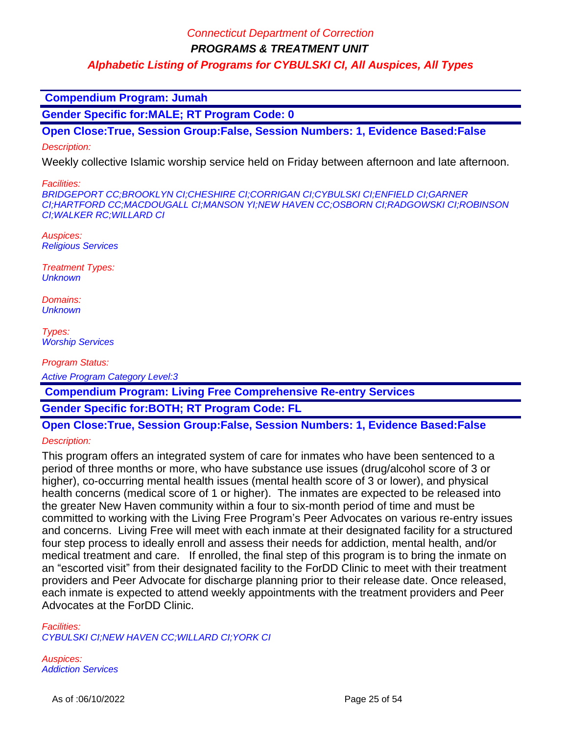**PROGRAMS & TREATMENT UNIT**

**Alphabetic Listing of Programs for CYBULSKI CI, All Auspices, All Types**

 **Compendium Program: Jumah**

**Gender Specific for:MALE; RT Program Code: 0**

**Open Close:True, Session Group:False, Session Numbers: 1, Evidence Based:False**

Description:

Weekly collective Islamic worship service held on Friday between afternoon and late afternoon.

Facilities:

BRIDGEPORT CC;BROOKLYN CI;CHESHIRE CI;CORRIGAN CI;CYBULSKI CI;ENFIELD CI;GARNER CI;HARTFORD CC;MACDOUGALL CI;MANSON YI;NEW HAVEN CC;OSBORN CI;RADGOWSKI CI;ROBINSON CI;WALKER RC;WILLARD CI

Auspices: Religious Services

Treatment Types: **Unknown** 

Domains: **Unknown** 

Types: Worship Services

Program Status:

Active Program Category Level:3

 **Compendium Program: Living Free Comprehensive Re-entry Services**

**Gender Specific for:BOTH; RT Program Code: FL**

# **Open Close:True, Session Group:False, Session Numbers: 1, Evidence Based:False**

Description:

This program offers an integrated system of care for inmates who have been sentenced to a period of three months or more, who have substance use issues (drug/alcohol score of 3 or higher), co-occurring mental health issues (mental health score of 3 or lower), and physical health concerns (medical score of 1 or higher). The inmates are expected to be released into the greater New Haven community within a four to six-month period of time and must be committed to working with the Living Free Program's Peer Advocates on various re-entry issues and concerns. Living Free will meet with each inmate at their designated facility for a structured four step process to ideally enroll and assess their needs for addiction, mental health, and/or medical treatment and care. If enrolled, the final step of this program is to bring the inmate on an "escorted visit" from their designated facility to the ForDD Clinic to meet with their treatment providers and Peer Advocate for discharge planning prior to their release date. Once released, each inmate is expected to attend weekly appointments with the treatment providers and Peer Advocates at the ForDD Clinic.

Facilities:

CYBULSKI CI;NEW HAVEN CC;WILLARD CI;YORK CI

Auspices: Addiction Services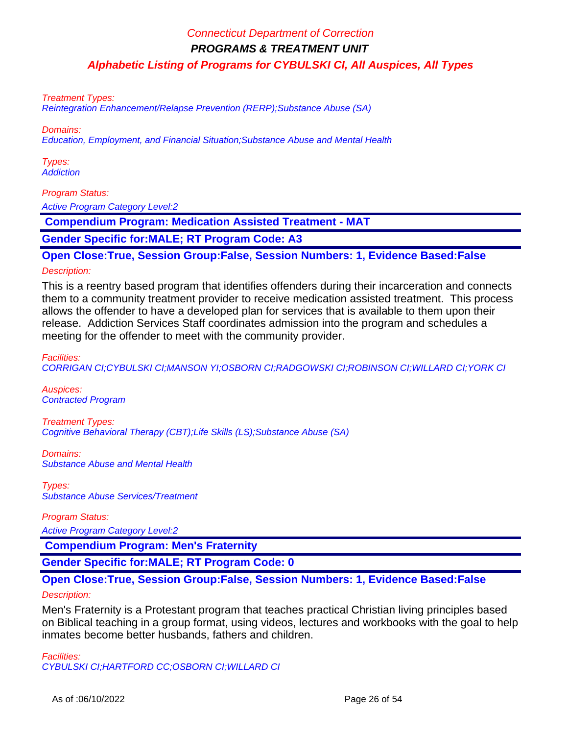#### Treatment Types:

Reintegration Enhancement/Relapse Prevention (RERP);Substance Abuse (SA)

#### Domains:

Education, Employment, and Financial Situation;Substance Abuse and Mental Health

Types: **Addiction** 

#### Program Status:

Active Program Category Level:2

 **Compendium Program: Medication Assisted Treatment - MAT**

**Gender Specific for:MALE; RT Program Code: A3**

#### **Open Close:True, Session Group:False, Session Numbers: 1, Evidence Based:False**

#### Description:

This is a reentry based program that identifies offenders during their incarceration and connects them to a community treatment provider to receive medication assisted treatment. This process allows the offender to have a developed plan for services that is available to them upon their release. Addiction Services Staff coordinates admission into the program and schedules a meeting for the offender to meet with the community provider.

Facilities: CORRIGAN CI;CYBULSKI CI;MANSON YI;OSBORN CI;RADGOWSKI CI;ROBINSON CI;WILLARD CI;YORK CI

Auspices: Contracted Program

Treatment Types: Cognitive Behavioral Therapy (CBT);Life Skills (LS);Substance Abuse (SA)

Domains: Substance Abuse and Mental Health

Types: Substance Abuse Services/Treatment

Program Status:

Active Program Category Level:2

 **Compendium Program: Men's Fraternity**

**Gender Specific for:MALE; RT Program Code: 0**

# **Open Close:True, Session Group:False, Session Numbers: 1, Evidence Based:False**

Description:

Men's Fraternity is a Protestant program that teaches practical Christian living principles based on Biblical teaching in a group format, using videos, lectures and workbooks with the goal to help inmates become better husbands, fathers and children.

Facilities: CYBULSKI CI;HARTFORD CC;OSBORN CI;WILLARD CI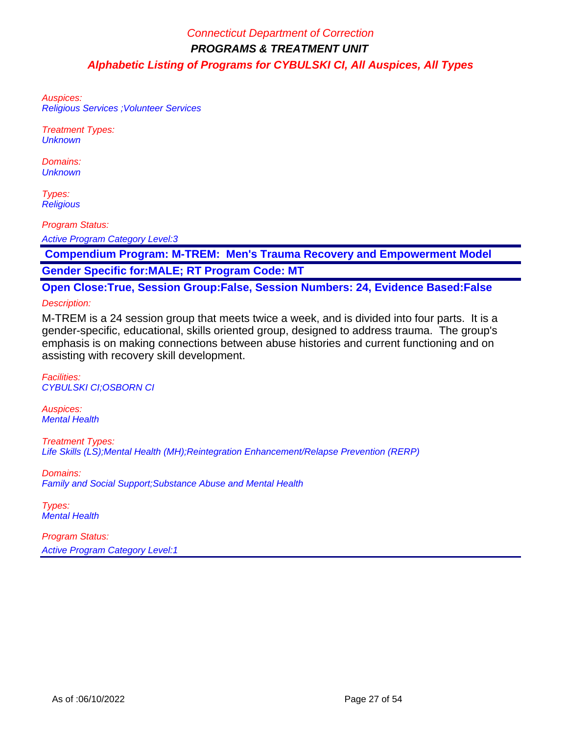Auspices: Religious Services ;Volunteer Services

Treatment Types: **Unknown** 

Domains: **Unknown** 

Types: **Religious** 

Program Status:

Active Program Category Level:3

 **Compendium Program: M-TREM: Men's Trauma Recovery and Empowerment Model Gender Specific for:MALE; RT Program Code: MT**

**Open Close:True, Session Group:False, Session Numbers: 24, Evidence Based:False** Description:

M-TREM is a 24 session group that meets twice a week, and is divided into four parts. It is a gender-specific, educational, skills oriented group, designed to address trauma. The group's emphasis is on making connections between abuse histories and current functioning and on assisting with recovery skill development.

Facilities: CYBULSKI CI;OSBORN CI

Auspices: Mental Health

Treatment Types: Life Skills (LS);Mental Health (MH);Reintegration Enhancement/Relapse Prevention (RERP)

Domains: Family and Social Support;Substance Abuse and Mental Health

Types: **Mental Health**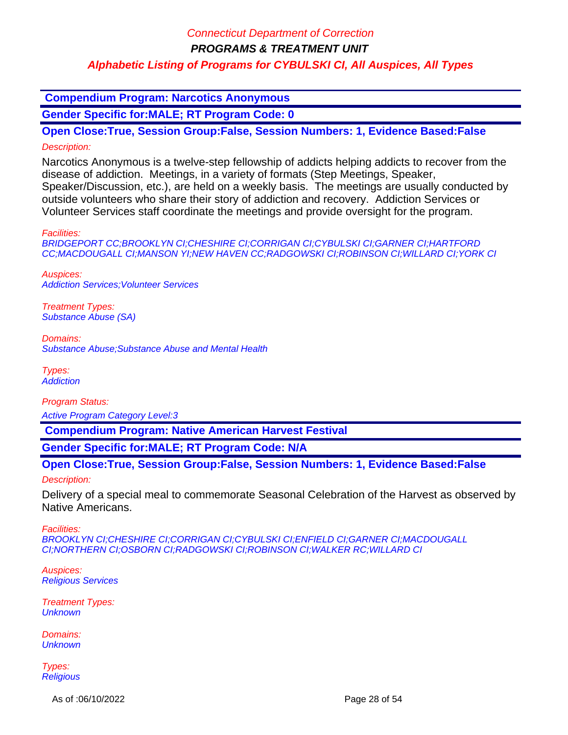**PROGRAMS & TREATMENT UNIT**

### **Alphabetic Listing of Programs for CYBULSKI CI, All Auspices, All Types**

 **Compendium Program: Narcotics Anonymous**

**Gender Specific for:MALE; RT Program Code: 0**

**Open Close:True, Session Group:False, Session Numbers: 1, Evidence Based:False** Description:

Narcotics Anonymous is a twelve-step fellowship of addicts helping addicts to recover from the disease of addiction. Meetings, in a variety of formats (Step Meetings, Speaker, Speaker/Discussion, etc.), are held on a weekly basis. The meetings are usually conducted by outside volunteers who share their story of addiction and recovery. Addiction Services or Volunteer Services staff coordinate the meetings and provide oversight for the program.

Facilities:

BRIDGEPORT CC;BROOKLYN CI;CHESHIRE CI;CORRIGAN CI;CYBULSKI CI;GARNER CI;HARTFORD CC;MACDOUGALL CI;MANSON YI;NEW HAVEN CC;RADGOWSKI CI;ROBINSON CI;WILLARD CI;YORK CI

Auspices: Addiction Services;Volunteer Services

Treatment Types: Substance Abuse (SA)

Domains: Substance Abuse;Substance Abuse and Mental Health

Types: **Addiction** 

Program Status:

Active Program Category Level:3

 **Compendium Program: Native American Harvest Festival**

**Gender Specific for:MALE; RT Program Code: N/A**

**Open Close:True, Session Group:False, Session Numbers: 1, Evidence Based:False**

Description:

Delivery of a special meal to commemorate Seasonal Celebration of the Harvest as observed by Native Americans.

Facilities:

BROOKLYN CI;CHESHIRE CI;CORRIGAN CI;CYBULSKI CI;ENFIELD CI;GARNER CI;MACDOUGALL CI;NORTHERN CI;OSBORN CI;RADGOWSKI CI;ROBINSON CI;WALKER RC;WILLARD CI

Auspices: Religious Services

Treatment Types: **Unknown** 

Domains: **Unknown** 

Types: **Religious** 

As of :06/10/2022 **Page 28 of 54**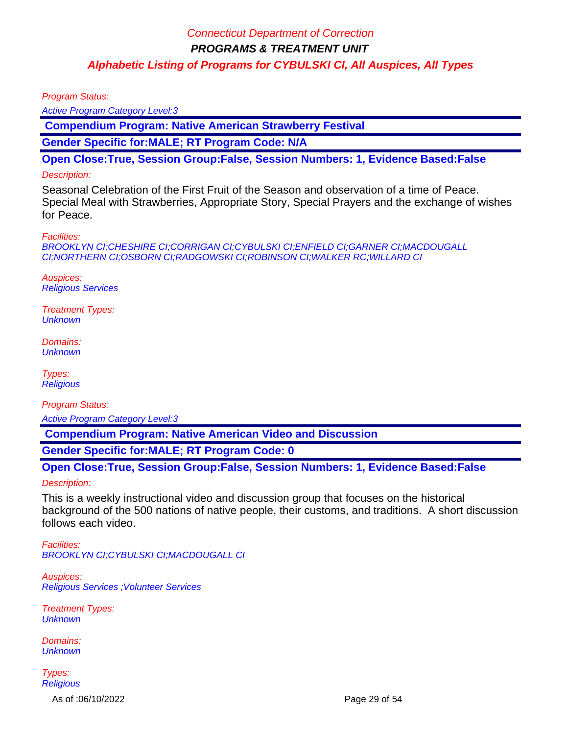Program Status:

Active Program Category Level:3

 **Compendium Program: Native American Strawberry Festival**

**Gender Specific for:MALE; RT Program Code: N/A**

**Open Close:True, Session Group:False, Session Numbers: 1, Evidence Based:False**

#### Description:

Seasonal Celebration of the First Fruit of the Season and observation of a time of Peace. Special Meal with Strawberries, Appropriate Story, Special Prayers and the exchange of wishes for Peace.

Facilities:

BROOKLYN CI;CHESHIRE CI;CORRIGAN CI;CYBULSKI CI;ENFIELD CI;GARNER CI;MACDOUGALL CI;NORTHERN CI;OSBORN CI;RADGOWSKI CI;ROBINSON CI;WALKER RC;WILLARD CI

Auspices: Religious Services

Treatment Types: **Unknown** 

Domains: **Unknown** 

Types: **Religious** 

Program Status: Active Program Category Level:3

 **Compendium Program: Native American Video and Discussion**

**Gender Specific for:MALE; RT Program Code: 0**

**Open Close:True, Session Group:False, Session Numbers: 1, Evidence Based:False**

Description:

This is a weekly instructional video and discussion group that focuses on the historical background of the 500 nations of native people, their customs, and traditions. A short discussion follows each video.

Facilities: BROOKLYN CI;CYBULSKI CI;MACDOUGALL CI

Auspices: Religious Services ;Volunteer Services

Treatment Types: **Unknown** 

Domains: **Unknown** 

Types: **Religious** 

As of :06/10/2022 Page 29 of 54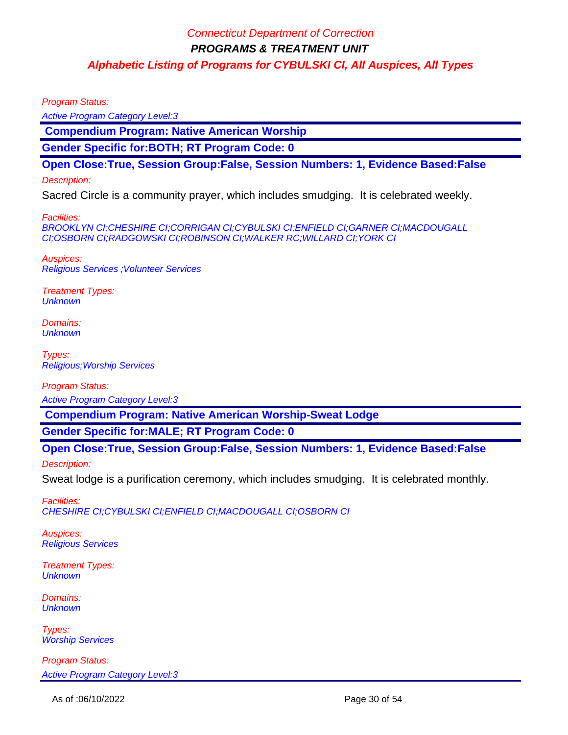Program Status:

Active Program Category Level:3

 **Compendium Program: Native American Worship**

**Gender Specific for:BOTH; RT Program Code: 0**

**Open Close:True, Session Group:False, Session Numbers: 1, Evidence Based:False**

#### Description:

Sacred Circle is a community prayer, which includes smudging. It is celebrated weekly.

Facilities:

BROOKLYN CI;CHESHIRE CI;CORRIGAN CI;CYBULSKI CI;ENFIELD CI;GARNER CI;MACDOUGALL CI;OSBORN CI;RADGOWSKI CI;ROBINSON CI;WALKER RC;WILLARD CI;YORK CI

Auspices: Religious Services ;Volunteer Services

Treatment Types: **Unknown** 

Domains: **Unknown** 

Types: Religious;Worship Services

Program Status:

Active Program Category Level:3

 **Compendium Program: Native American Worship-Sweat Lodge**

**Gender Specific for:MALE; RT Program Code: 0**

**Open Close:True, Session Group:False, Session Numbers: 1, Evidence Based:False**

Description:

Sweat lodge is a purification ceremony, which includes smudging. It is celebrated monthly.

Facilities: CHESHIRE CI;CYBULSKI CI;ENFIELD CI;MACDOUGALL CI;OSBORN CI

Auspices: Religious Services

Treatment Types: **Unknown** 

Domains: **Unknown** 

Types: Worship Services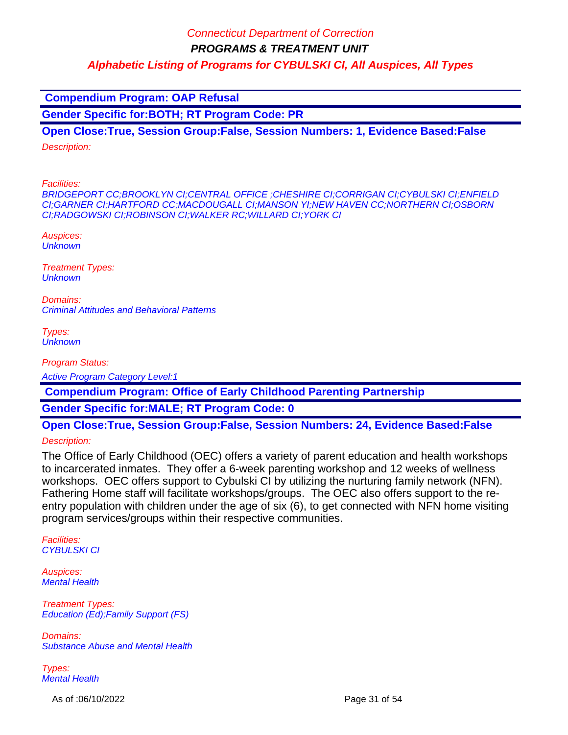**PROGRAMS & TREATMENT UNIT**

**Alphabetic Listing of Programs for CYBULSKI CI, All Auspices, All Types**

 **Compendium Program: OAP Refusal**

**Gender Specific for:BOTH; RT Program Code: PR**

**Open Close:True, Session Group:False, Session Numbers: 1, Evidence Based:False**

Description:

Facilities:

BRIDGEPORT CC;BROOKLYN CI;CENTRAL OFFICE ;CHESHIRE CI;CORRIGAN CI;CYBULSKI CI;ENFIELD CI;GARNER CI;HARTFORD CC;MACDOUGALL CI;MANSON YI;NEW HAVEN CC;NORTHERN CI;OSBORN CI;RADGOWSKI CI;ROBINSON CI;WALKER RC;WILLARD CI;YORK CI

Auspices: **Unknown** 

Treatment Types: **Unknown** 

Domains: Criminal Attitudes and Behavioral Patterns

Types: **Unknown** 

Program Status:

Active Program Category Level:1

 **Compendium Program: Office of Early Childhood Parenting Partnership**

**Gender Specific for:MALE; RT Program Code: 0**

**Open Close:True, Session Group:False, Session Numbers: 24, Evidence Based:False**

Description:

The Office of Early Childhood (OEC) offers a variety of parent education and health workshops to incarcerated inmates. They offer a 6-week parenting workshop and 12 weeks of wellness workshops. OEC offers support to Cybulski CI by utilizing the nurturing family network (NFN). Fathering Home staff will facilitate workshops/groups. The OEC also offers support to the reentry population with children under the age of six (6), to get connected with NFN home visiting program services/groups within their respective communities.

Facilities: CYBULSKI CI

Auspices: Mental Health

Treatment Types: Education (Ed);Family Support (FS)

Domains: Substance Abuse and Mental Health

Types: Mental Health

As of :06/10/2022 **Page 31 of 54**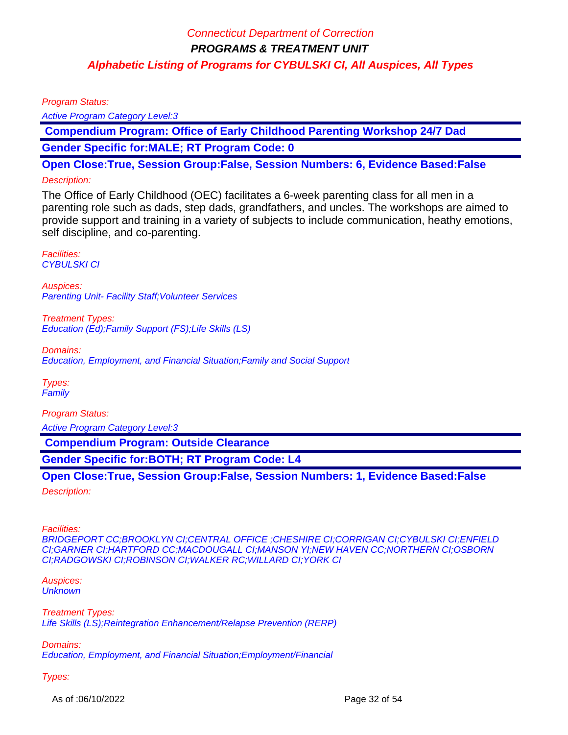Program Status:

Active Program Category Level:3

 **Compendium Program: Office of Early Childhood Parenting Workshop 24/7 Dad Gender Specific for:MALE; RT Program Code: 0**

**Open Close:True, Session Group:False, Session Numbers: 6, Evidence Based:False**

### Description:

The Office of Early Childhood (OEC) facilitates a 6-week parenting class for all men in a parenting role such as dads, step dads, grandfathers, and uncles. The workshops are aimed to provide support and training in a variety of subjects to include communication, heathy emotions, self discipline, and co-parenting.

Facilities: CYBULSKI CI

Auspices: Parenting Unit- Facility Staff; Volunteer Services

Treatment Types: Education (Ed);Family Support (FS);Life Skills (LS)

Domains: Education, Employment, and Financial Situation;Family and Social Support

Types: Family

Program Status:

Active Program Category Level:3

 **Compendium Program: Outside Clearance**

**Gender Specific for:BOTH; RT Program Code: L4**

**Open Close:True, Session Group:False, Session Numbers: 1, Evidence Based:False** Description:

Facilities: BRIDGEPORT CC;BROOKLYN CI;CENTRAL OFFICE ;CHESHIRE CI;CORRIGAN CI;CYBULSKI CI;ENFIELD CI;GARNER CI;HARTFORD CC;MACDOUGALL CI;MANSON YI;NEW HAVEN CC;NORTHERN CI;OSBORN CI;RADGOWSKI CI;ROBINSON CI;WALKER RC;WILLARD CI;YORK CI

#### Auspices: **Unknown**

Treatment Types: Life Skills (LS);Reintegration Enhancement/Relapse Prevention (RERP)

Domains: Education, Employment, and Financial Situation;Employment/Financial

Types:

As of :06/10/2022 **Page 32 of 54**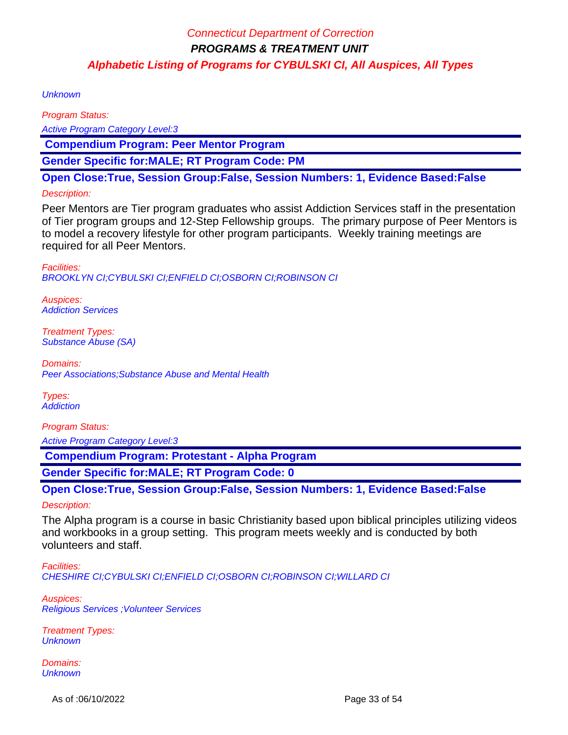**Unknown** 

Program Status: Active Program Category Level:3  **Compendium Program: Peer Mentor Program**

**Gender Specific for:MALE; RT Program Code: PM**

**Open Close:True, Session Group:False, Session Numbers: 1, Evidence Based:False**

### Description:

Peer Mentors are Tier program graduates who assist Addiction Services staff in the presentation of Tier program groups and 12-Step Fellowship groups. The primary purpose of Peer Mentors is to model a recovery lifestyle for other program participants. Weekly training meetings are required for all Peer Mentors.

Facilities: BROOKLYN CI;CYBULSKI CI;ENFIELD CI;OSBORN CI;ROBINSON CI

Auspices: Addiction Services

Treatment Types: Substance Abuse (SA)

Domains: Peer Associations;Substance Abuse and Mental Health

Types: **Addiction** 

Program Status:

Active Program Category Level:3

 **Compendium Program: Protestant - Alpha Program**

**Gender Specific for:MALE; RT Program Code: 0**

**Open Close:True, Session Group:False, Session Numbers: 1, Evidence Based:False**

Description:

The Alpha program is a course in basic Christianity based upon biblical principles utilizing videos and workbooks in a group setting. This program meets weekly and is conducted by both volunteers and staff.

Facilities: CHESHIRE CI;CYBULSKI CI;ENFIELD CI;OSBORN CI;ROBINSON CI;WILLARD CI

Auspices: Religious Services ;Volunteer Services

Treatment Types: **Unknown** 

Domains: **Unknown** 

As of :06/10/2022 **Page 33 of 54**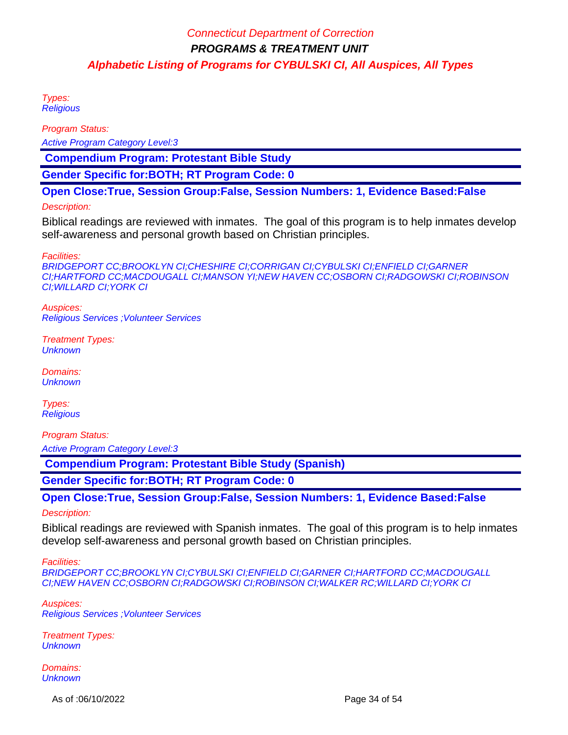Types: **Religious** 

Program Status:

Active Program Category Level:3

 **Compendium Program: Protestant Bible Study**

**Gender Specific for:BOTH; RT Program Code: 0**

**Open Close:True, Session Group:False, Session Numbers: 1, Evidence Based:False**

#### Description:

Biblical readings are reviewed with inmates. The goal of this program is to help inmates develop self-awareness and personal growth based on Christian principles.

Facilities:

BRIDGEPORT CC;BROOKLYN CI;CHESHIRE CI;CORRIGAN CI;CYBULSKI CI;ENFIELD CI;GARNER CI;HARTFORD CC;MACDOUGALL CI;MANSON YI;NEW HAVEN CC;OSBORN CI;RADGOWSKI CI;ROBINSON CI;WILLARD CI;YORK CI

Auspices: Religious Services ;Volunteer Services

Treatment Types: **Unknown** 

Domains: **Unknown** 

Types: **Religious** 

Program Status:

Active Program Category Level:3

 **Compendium Program: Protestant Bible Study (Spanish)**

**Gender Specific for:BOTH; RT Program Code: 0**

**Open Close:True, Session Group:False, Session Numbers: 1, Evidence Based:False**

### Description:

Biblical readings are reviewed with Spanish inmates. The goal of this program is to help inmates develop self-awareness and personal growth based on Christian principles.

Facilities:

BRIDGEPORT CC;BROOKLYN CI;CYBULSKI CI;ENFIELD CI;GARNER CI;HARTFORD CC;MACDOUGALL CI;NEW HAVEN CC;OSBORN CI;RADGOWSKI CI;ROBINSON CI;WALKER RC;WILLARD CI;YORK CI

Auspices: Religious Services ;Volunteer Services

Treatment Types: **Unknown** 

Domains: **Unknown** 

As of :06/10/2022 **Page 34 of 54**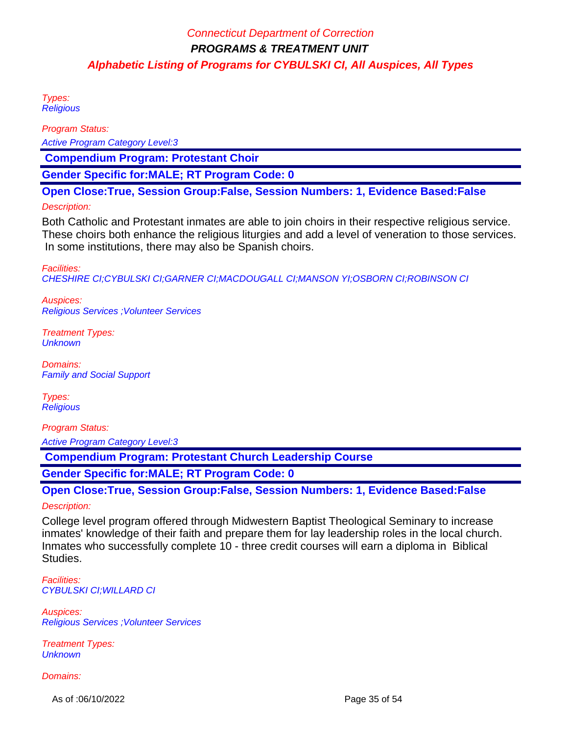Types: **Religious** 

Program Status:

Active Program Category Level:3

 **Compendium Program: Protestant Choir**

**Gender Specific for:MALE; RT Program Code: 0**

**Open Close:True, Session Group:False, Session Numbers: 1, Evidence Based:False**

#### Description:

Both Catholic and Protestant inmates are able to join choirs in their respective religious service. These choirs both enhance the religious liturgies and add a level of veneration to those services. In some institutions, there may also be Spanish choirs.

Facilities:

CHESHIRE CI;CYBULSKI CI;GARNER CI;MACDOUGALL CI;MANSON YI;OSBORN CI;ROBINSON CI

Auspices: Religious Services ;Volunteer Services

Treatment Types: **Unknown** 

Domains: Family and Social Support

Types: **Religious** 

Program Status:

Active Program Category Level:3

 **Compendium Program: Protestant Church Leadership Course**

**Gender Specific for:MALE; RT Program Code: 0**

**Open Close:True, Session Group:False, Session Numbers: 1, Evidence Based:False**

#### Description:

College level program offered through Midwestern Baptist Theological Seminary to increase inmates' knowledge of their faith and prepare them for lay leadership roles in the local church. Inmates who successfully complete 10 - three credit courses will earn a diploma in Biblical Studies.

Facilities: CYBULSKI CI;WILLARD CI

Auspices: Religious Services ;Volunteer Services

Treatment Types: **Unknown** 

Domains:

As of :06/10/2022 **Page 35 of 54**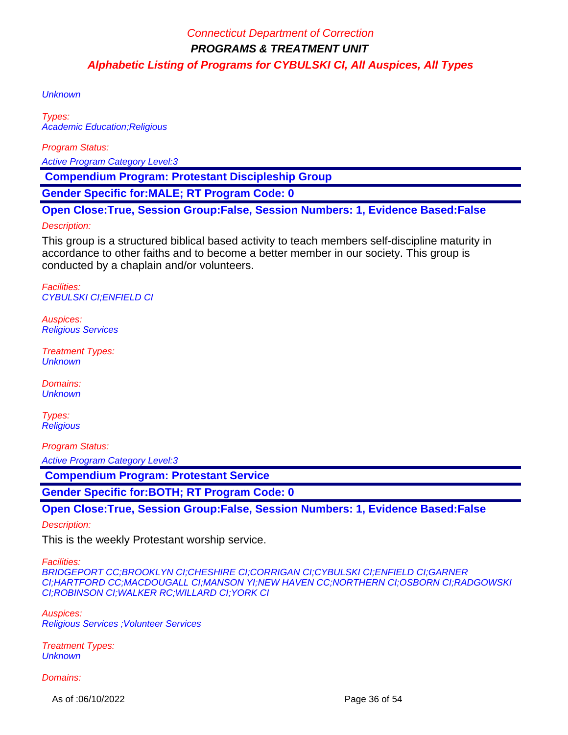**Unknown** 

Types: Academic Education;Religious

Program Status:

Active Program Category Level:3

 **Compendium Program: Protestant Discipleship Group**

**Gender Specific for:MALE; RT Program Code: 0**

**Open Close:True, Session Group:False, Session Numbers: 1, Evidence Based:False**

### Description:

This group is a structured biblical based activity to teach members self-discipline maturity in accordance to other faiths and to become a better member in our society. This group is conducted by a chaplain and/or volunteers.

Facilities: CYBULSKI CI;ENFIELD CI

Auspices: Religious Services

Treatment Types: **Unknown** 

Domains: **Unknown** 

Types: **Religious** 

Program Status:

Active Program Category Level:3

 **Compendium Program: Protestant Service**

**Gender Specific for:BOTH; RT Program Code: 0**

**Open Close:True, Session Group:False, Session Numbers: 1, Evidence Based:False**

Description:

This is the weekly Protestant worship service.

Facilities:

BRIDGEPORT CC;BROOKLYN CI;CHESHIRE CI;CORRIGAN CI;CYBULSKI CI;ENFIELD CI;GARNER CI;HARTFORD CC;MACDOUGALL CI;MANSON YI;NEW HAVEN CC;NORTHERN CI;OSBORN CI;RADGOWSKI CI;ROBINSON CI;WALKER RC;WILLARD CI;YORK CI

Auspices: Religious Services ;Volunteer Services

Treatment Types: **Unknown** 

Domains:

As of :06/10/2022 **Page 36 of 54**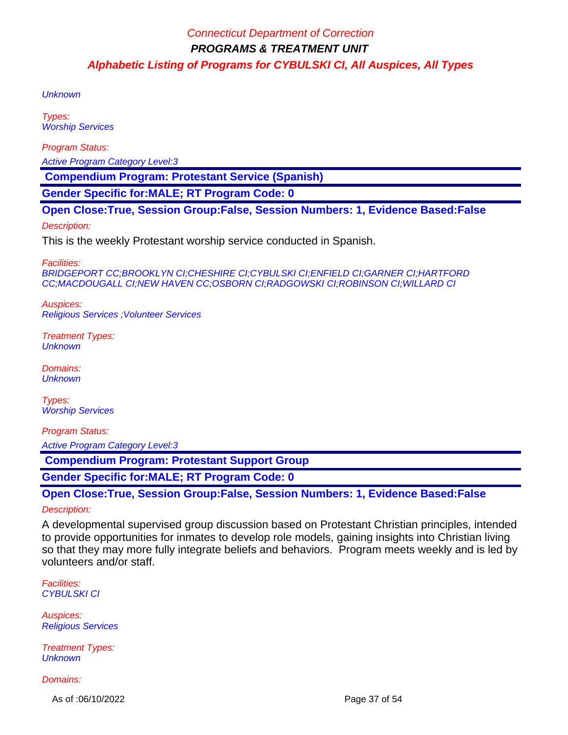**Unknown** 

Types: Worship Services

Program Status:

Active Program Category Level:3

 **Compendium Program: Protestant Service (Spanish)**

**Gender Specific for:MALE; RT Program Code: 0**

**Open Close:True, Session Group:False, Session Numbers: 1, Evidence Based:False**

Description:

This is the weekly Protestant worship service conducted in Spanish.

Facilities:

BRIDGEPORT CC;BROOKLYN CI;CHESHIRE CI;CYBULSKI CI;ENFIELD CI;GARNER CI;HARTFORD CC;MACDOUGALL CI;NEW HAVEN CC;OSBORN CI;RADGOWSKI CI;ROBINSON CI;WILLARD CI

Auspices: Religious Services ;Volunteer Services

Treatment Types: **Unknown** 

Domains: **Unknown** 

Types: Worship Services

Program Status:

Active Program Category Level:3

 **Compendium Program: Protestant Support Group**

**Gender Specific for:MALE; RT Program Code: 0**

**Open Close:True, Session Group:False, Session Numbers: 1, Evidence Based:False**

#### Description:

A developmental supervised group discussion based on Protestant Christian principles, intended to provide opportunities for inmates to develop role models, gaining insights into Christian living so that they may more fully integrate beliefs and behaviors. Program meets weekly and is led by volunteers and/or staff.

Facilities: CYBULSKI CI

Auspices: Religious Services

Treatment Types: **Unknown** 

Domains:

As of :06/10/2022 **Page 37 of 54**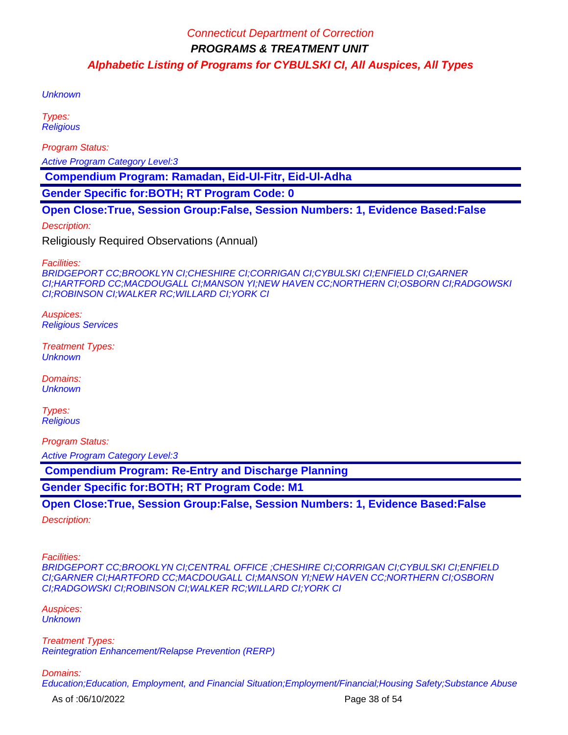**Unknown** 

Types: **Religious** 

Program Status:

Active Program Category Level:3

 **Compendium Program: Ramadan, Eid-Ul-Fitr, Eid-Ul-Adha**

**Gender Specific for:BOTH; RT Program Code: 0**

**Open Close:True, Session Group:False, Session Numbers: 1, Evidence Based:False**

Description:

Religiously Required Observations (Annual)

Facilities:

BRIDGEPORT CC;BROOKLYN CI;CHESHIRE CI;CORRIGAN CI;CYBULSKI CI;ENFIELD CI;GARNER CI;HARTFORD CC;MACDOUGALL CI;MANSON YI;NEW HAVEN CC;NORTHERN CI;OSBORN CI;RADGOWSKI CI;ROBINSON CI;WALKER RC;WILLARD CI;YORK CI

Auspices: Religious Services

Treatment Types: **Unknown** 

Domains: **Unknown** 

Types: **Religious** 

Program Status:

Active Program Category Level:3

 **Compendium Program: Re-Entry and Discharge Planning**

**Gender Specific for:BOTH; RT Program Code: M1**

**Open Close:True, Session Group:False, Session Numbers: 1, Evidence Based:False**

Description:

Facilities:

BRIDGEPORT CC;BROOKLYN CI;CENTRAL OFFICE ;CHESHIRE CI;CORRIGAN CI;CYBULSKI CI;ENFIELD CI;GARNER CI;HARTFORD CC;MACDOUGALL CI;MANSON YI;NEW HAVEN CC;NORTHERN CI;OSBORN CI;RADGOWSKI CI;ROBINSON CI;WALKER RC;WILLARD CI;YORK CI

Auspices: **Unknown** 

Treatment Types: Reintegration Enhancement/Relapse Prevention (RERP)

Domains: Education;Education, Employment, and Financial Situation;Employment/Financial;Housing Safety;Substance Abuse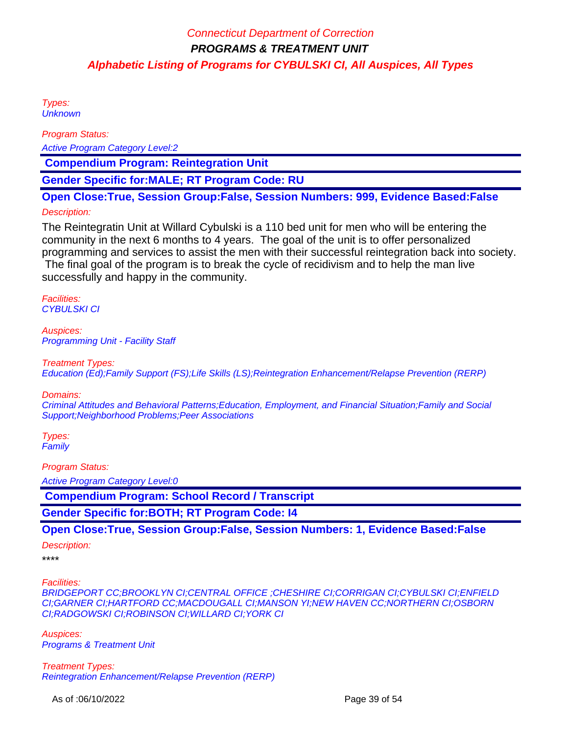Types: **Unknown** 

Program Status:

Active Program Category Level:2

 **Compendium Program: Reintegration Unit**

**Gender Specific for:MALE; RT Program Code: RU**

**Open Close:True, Session Group:False, Session Numbers: 999, Evidence Based:False**

### Description:

The Reintegratin Unit at Willard Cybulski is a 110 bed unit for men who will be entering the community in the next 6 months to 4 years. The goal of the unit is to offer personalized programming and services to assist the men with their successful reintegration back into society.

 The final goal of the program is to break the cycle of recidivism and to help the man live successfully and happy in the community.

Facilities: CYBULSKI CI

Auspices: Programming Unit - Facility Staff

Treatment Types:

Education (Ed);Family Support (FS);Life Skills (LS);Reintegration Enhancement/Relapse Prevention (RERP)

Domains:

Criminal Attitudes and Behavioral Patterns;Education, Employment, and Financial Situation;Family and Social Support;Neighborhood Problems;Peer Associations

Types: **Family** 

Program Status:

Active Program Category Level:0

 **Compendium Program: School Record / Transcript**

**Gender Specific for:BOTH; RT Program Code: I4**

**Open Close:True, Session Group:False, Session Numbers: 1, Evidence Based:False**

Description:

\*\*\*\*

Facilities:

BRIDGEPORT CC;BROOKLYN CI;CENTRAL OFFICE ;CHESHIRE CI;CORRIGAN CI;CYBULSKI CI;ENFIELD CI;GARNER CI;HARTFORD CC;MACDOUGALL CI;MANSON YI;NEW HAVEN CC;NORTHERN CI;OSBORN CI;RADGOWSKI CI;ROBINSON CI;WILLARD CI;YORK CI

Auspices: Programs & Treatment Unit

Treatment Types: Reintegration Enhancement/Relapse Prevention (RERP)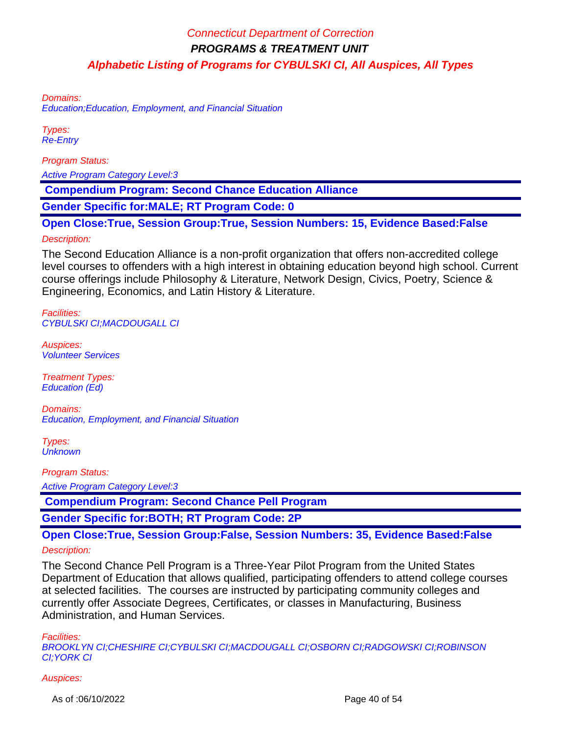Domains:

Education;Education, Employment, and Financial Situation

Types: Re-Entry

Program Status:

Active Program Category Level:3

 **Compendium Program: Second Chance Education Alliance** 

**Gender Specific for:MALE; RT Program Code: 0**

**Open Close:True, Session Group:True, Session Numbers: 15, Evidence Based:False**

#### Description:

The Second Education Alliance is a non-profit organization that offers non-accredited college level courses to offenders with a high interest in obtaining education beyond high school. Current course offerings include Philosophy & Literature, Network Design, Civics, Poetry, Science & Engineering, Economics, and Latin History & Literature.

Facilities: CYBULSKI CI;MACDOUGALL CI

Auspices: Volunteer Services

Treatment Types: Education (Ed)

Domains: Education, Employment, and Financial Situation

Types: **Unknown** 

Program Status: Active Program Category Level:3

 **Compendium Program: Second Chance Pell Program**

**Gender Specific for:BOTH; RT Program Code: 2P**

**Open Close:True, Session Group:False, Session Numbers: 35, Evidence Based:False** Description:

The Second Chance Pell Program is a Three-Year Pilot Program from the United States Department of Education that allows qualified, participating offenders to attend college courses at selected facilities. The courses are instructed by participating community colleges and currently offer Associate Degrees, Certificates, or classes in Manufacturing, Business Administration, and Human Services.

Facilities:

BROOKLYN CI;CHESHIRE CI;CYBULSKI CI;MACDOUGALL CI;OSBORN CI;RADGOWSKI CI;ROBINSON CI;YORK CI

Auspices:

As of :06/10/2022 **Page 40 of 54**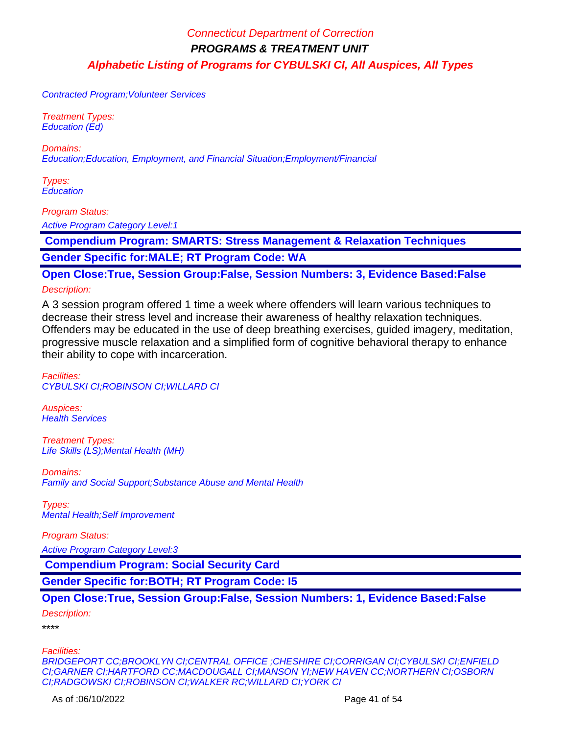Contracted Program;Volunteer Services

Treatment Types: Education (Ed)

Domains: Education;Education, Employment, and Financial Situation;Employment/Financial

Types: **Education** 

Program Status:

Active Program Category Level:1

 **Compendium Program: SMARTS: Stress Management & Relaxation Techniques**

**Gender Specific for:MALE; RT Program Code: WA**

**Open Close:True, Session Group:False, Session Numbers: 3, Evidence Based:False**

Description:

A 3 session program offered 1 time a week where offenders will learn various techniques to decrease their stress level and increase their awareness of healthy relaxation techniques. Offenders may be educated in the use of deep breathing exercises, guided imagery, meditation, progressive muscle relaxation and a simplified form of cognitive behavioral therapy to enhance their ability to cope with incarceration.

Facilities: CYBULSKI CI;ROBINSON CI;WILLARD CI

Auspices: **Health Services** 

Treatment Types: Life Skills (LS);Mental Health (MH)

Domains: Family and Social Support;Substance Abuse and Mental Health

Types: Mental Health;Self Improvement

Program Status:

Active Program Category Level:3

 **Compendium Program: Social Security Card**

**Gender Specific for:BOTH; RT Program Code: I5**

**Open Close:True, Session Group:False, Session Numbers: 1, Evidence Based:False**

Description:

\*\*\*\*

Facilities:

BRIDGEPORT CC;BROOKLYN CI;CENTRAL OFFICE ;CHESHIRE CI;CORRIGAN CI;CYBULSKI CI;ENFIELD CI;GARNER CI;HARTFORD CC;MACDOUGALL CI;MANSON YI;NEW HAVEN CC;NORTHERN CI;OSBORN CI;RADGOWSKI CI;ROBINSON CI;WALKER RC;WILLARD CI;YORK CI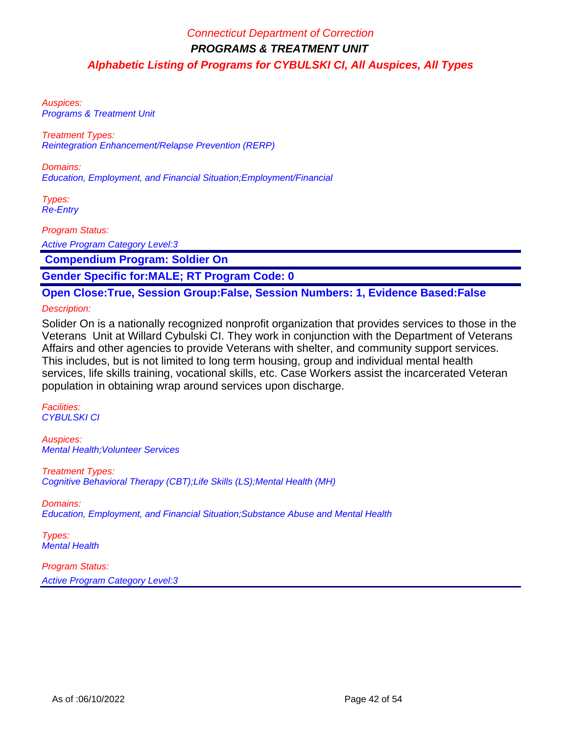Auspices: Programs & Treatment Unit

Treatment Types: Reintegration Enhancement/Relapse Prevention (RERP)

Domains: Education, Employment, and Financial Situation;Employment/Financial

Types: Re-Entry

Program Status:

Active Program Category Level:3

 **Compendium Program: Soldier On**

**Gender Specific for:MALE; RT Program Code: 0**

**Open Close:True, Session Group:False, Session Numbers: 1, Evidence Based:False**

Description:

Solider On is a nationally recognized nonprofit organization that provides services to those in the Veterans Unit at Willard Cybulski CI. They work in conjunction with the Department of Veterans Affairs and other agencies to provide Veterans with shelter, and community support services. This includes, but is not limited to long term housing, group and individual mental health services, life skills training, vocational skills, etc. Case Workers assist the incarcerated Veteran population in obtaining wrap around services upon discharge.

Facilities: CYBULSKI CI

Auspices: Mental Health;Volunteer Services

Treatment Types: Cognitive Behavioral Therapy (CBT);Life Skills (LS);Mental Health (MH)

Domains:

Education, Employment, and Financial Situation;Substance Abuse and Mental Health

Types: Mental Health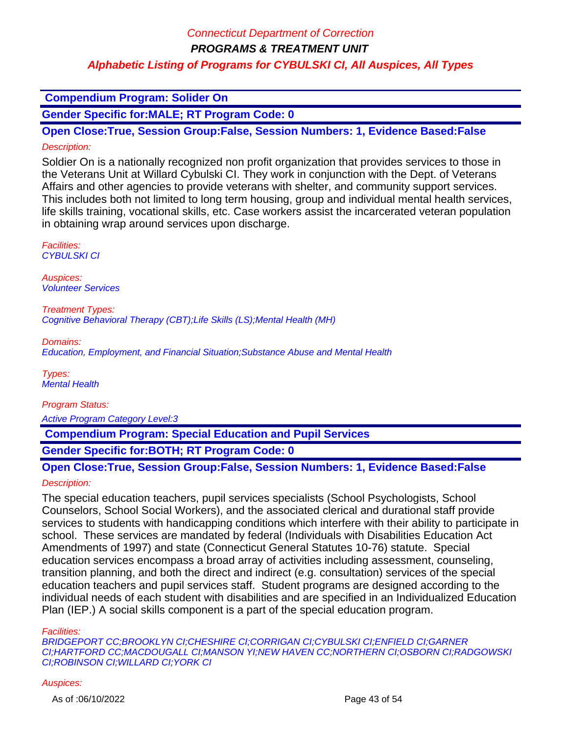### **Compendium Program: Solider On**

**Gender Specific for:MALE; RT Program Code: 0**

**Open Close:True, Session Group:False, Session Numbers: 1, Evidence Based:False** Description:

Soldier On is a nationally recognized non profit organization that provides services to those in the Veterans Unit at Willard Cybulski CI. They work in conjunction with the Dept. of Veterans Affairs and other agencies to provide veterans with shelter, and community support services. This includes both not limited to long term housing, group and individual mental health services, life skills training, vocational skills, etc. Case workers assist the incarcerated veteran population in obtaining wrap around services upon discharge.

Facilities: CYBULSKI CI

Auspices: Volunteer Services

Treatment Types: Cognitive Behavioral Therapy (CBT);Life Skills (LS);Mental Health (MH)

Domains: Education, Employment, and Financial Situation;Substance Abuse and Mental Health

Types: Mental Health

Program Status: Active Program Category Level:3

 **Compendium Program: Special Education and Pupil Services**

**Gender Specific for:BOTH; RT Program Code: 0**

### **Open Close:True, Session Group:False, Session Numbers: 1, Evidence Based:False**

### Description:

The special education teachers, pupil services specialists (School Psychologists, School Counselors, School Social Workers), and the associated clerical and durational staff provide services to students with handicapping conditions which interfere with their ability to participate in school. These services are mandated by federal (Individuals with Disabilities Education Act Amendments of 1997) and state (Connecticut General Statutes 10-76) statute. Special education services encompass a broad array of activities including assessment, counseling, transition planning, and both the direct and indirect (e.g. consultation) services of the special education teachers and pupil services staff. Student programs are designed according to the individual needs of each student with disabilities and are specified in an Individualized Education Plan (IEP.) A social skills component is a part of the special education program.

Facilities:

BRIDGEPORT CC;BROOKLYN CI;CHESHIRE CI;CORRIGAN CI;CYBULSKI CI;ENFIELD CI;GARNER CI;HARTFORD CC;MACDOUGALL CI;MANSON YI;NEW HAVEN CC;NORTHERN CI;OSBORN CI;RADGOWSKI CI;ROBINSON CI;WILLARD CI;YORK CI

#### Auspices: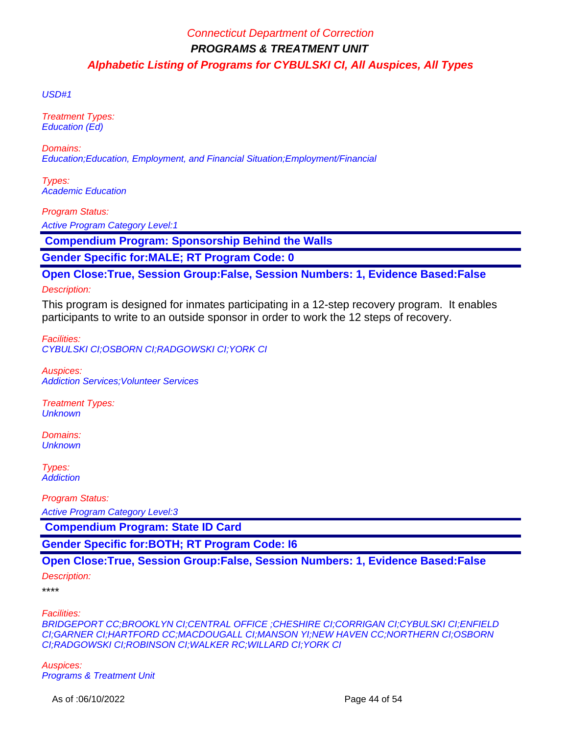USD#1

Treatment Types: Education (Ed)

Domains: Education;Education, Employment, and Financial Situation;Employment/Financial

Types: Academic Education

Program Status:

Active Program Category Level:1

 **Compendium Program: Sponsorship Behind the Walls**

**Gender Specific for:MALE; RT Program Code: 0**

**Open Close:True, Session Group:False, Session Numbers: 1, Evidence Based:False**

Description:

This program is designed for inmates participating in a 12-step recovery program. It enables participants to write to an outside sponsor in order to work the 12 steps of recovery.

Facilities: CYBULSKI CI;OSBORN CI;RADGOWSKI CI;YORK CI

Auspices: Addiction Services;Volunteer Services

Treatment Types: **Unknown** 

Domains: **Unknown** 

Types: **Addiction** 

Program Status:

Active Program Category Level:3

 **Compendium Program: State ID Card**

**Gender Specific for:BOTH; RT Program Code: I6**

### **Open Close:True, Session Group:False, Session Numbers: 1, Evidence Based:False**

Description:

\*\*\*\*

Facilities:

BRIDGEPORT CC;BROOKLYN CI;CENTRAL OFFICE ;CHESHIRE CI;CORRIGAN CI;CYBULSKI CI;ENFIELD CI;GARNER CI;HARTFORD CC;MACDOUGALL CI;MANSON YI;NEW HAVEN CC;NORTHERN CI;OSBORN CI;RADGOWSKI CI;ROBINSON CI;WALKER RC;WILLARD CI;YORK CI

Auspices: Programs & Treatment Unit

As of :06/10/2022 **Page 44 of 54**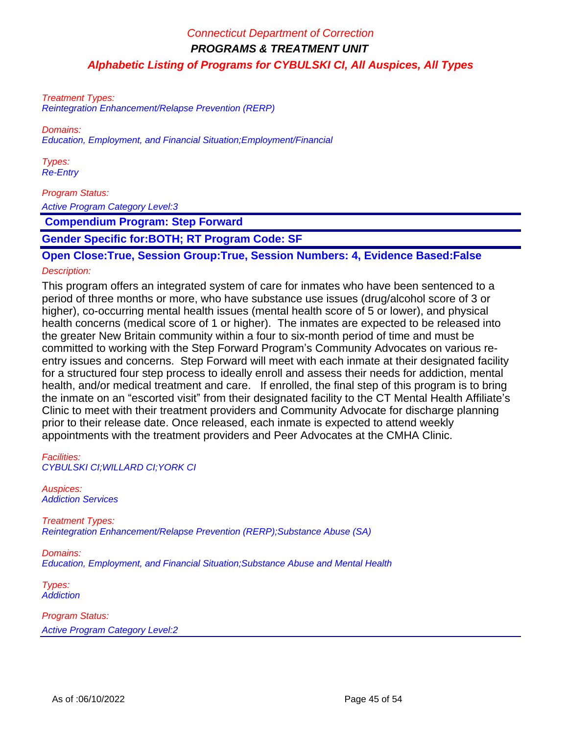Treatment Types: Reintegration Enhancement/Relapse Prevention (RERP)

Domains:

Education, Employment, and Financial Situation;Employment/Financial

Types: Re-Entry

#### Program Status:

Active Program Category Level:3

 **Compendium Program: Step Forward**

**Gender Specific for:BOTH; RT Program Code: SF**

**Open Close:True, Session Group:True, Session Numbers: 4, Evidence Based:False**

### Description:

This program offers an integrated system of care for inmates who have been sentenced to a period of three months or more, who have substance use issues (drug/alcohol score of 3 or higher), co-occurring mental health issues (mental health score of 5 or lower), and physical health concerns (medical score of 1 or higher). The inmates are expected to be released into the greater New Britain community within a four to six-month period of time and must be committed to working with the Step Forward Program's Community Advocates on various reentry issues and concerns. Step Forward will meet with each inmate at their designated facility for a structured four step process to ideally enroll and assess their needs for addiction, mental health, and/or medical treatment and care. If enrolled, the final step of this program is to bring the inmate on an "escorted visit" from their designated facility to the CT Mental Health Affiliate's Clinic to meet with their treatment providers and Community Advocate for discharge planning prior to their release date. Once released, each inmate is expected to attend weekly appointments with the treatment providers and Peer Advocates at the CMHA Clinic.

Facilities: CYBULSKI CI;WILLARD CI;YORK CI

Auspices: Addiction Services

Treatment Types: Reintegration Enhancement/Relapse Prevention (RERP);Substance Abuse (SA)

Domains: Education, Employment, and Financial Situation;Substance Abuse and Mental Health

Types: **Addiction**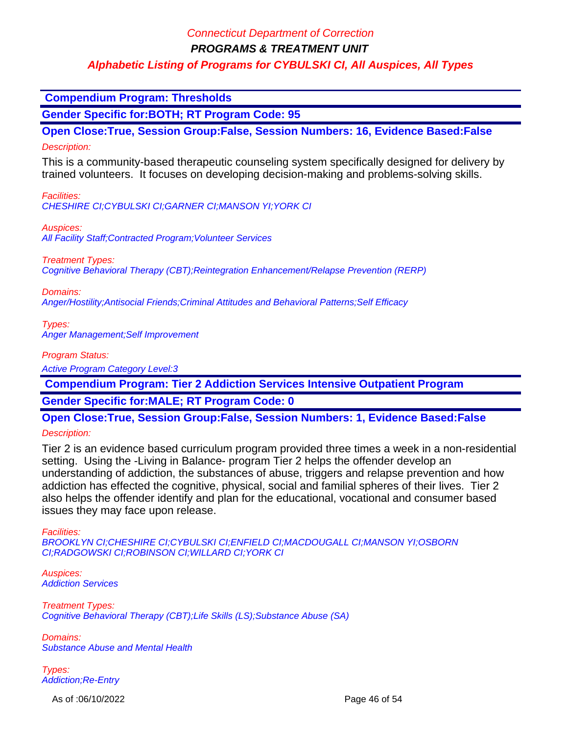**PROGRAMS & TREATMENT UNIT**

### **Alphabetic Listing of Programs for CYBULSKI CI, All Auspices, All Types**

 **Compendium Program: Thresholds**

**Gender Specific for:BOTH; RT Program Code: 95**

**Open Close:True, Session Group:False, Session Numbers: 16, Evidence Based:False**

Description:

This is a community-based therapeutic counseling system specifically designed for delivery by trained volunteers. It focuses on developing decision-making and problems-solving skills.

Facilities:

CHESHIRE CI;CYBULSKI CI;GARNER CI;MANSON YI;YORK CI

Auspices:

All Facility Staff; Contracted Program; Volunteer Services

Treatment Types:

Cognitive Behavioral Therapy (CBT);Reintegration Enhancement/Relapse Prevention (RERP)

Domains:

Anger/Hostility;Antisocial Friends;Criminal Attitudes and Behavioral Patterns;Self Efficacy

Types: Anger Management;Self Improvement

Program Status:

Active Program Category Level:3

 **Compendium Program: Tier 2 Addiction Services Intensive Outpatient Program**

**Gender Specific for:MALE; RT Program Code: 0**

**Open Close:True, Session Group:False, Session Numbers: 1, Evidence Based:False**

Description:

Tier 2 is an evidence based curriculum program provided three times a week in a non-residential setting. Using the -Living in Balance- program Tier 2 helps the offender develop an understanding of addiction, the substances of abuse, triggers and relapse prevention and how addiction has effected the cognitive, physical, social and familial spheres of their lives. Tier 2 also helps the offender identify and plan for the educational, vocational and consumer based issues they may face upon release.

Facilities:

BROOKLYN CI;CHESHIRE CI;CYBULSKI CI;ENFIELD CI;MACDOUGALL CI;MANSON YI;OSBORN CI;RADGOWSKI CI;ROBINSON CI;WILLARD CI;YORK CI

Auspices: Addiction Services

Treatment Types: Cognitive Behavioral Therapy (CBT);Life Skills (LS);Substance Abuse (SA)

Domains: Substance Abuse and Mental Health

Types: Addiction;Re-Entry

As of :06/10/2022 **Page 46 of 54**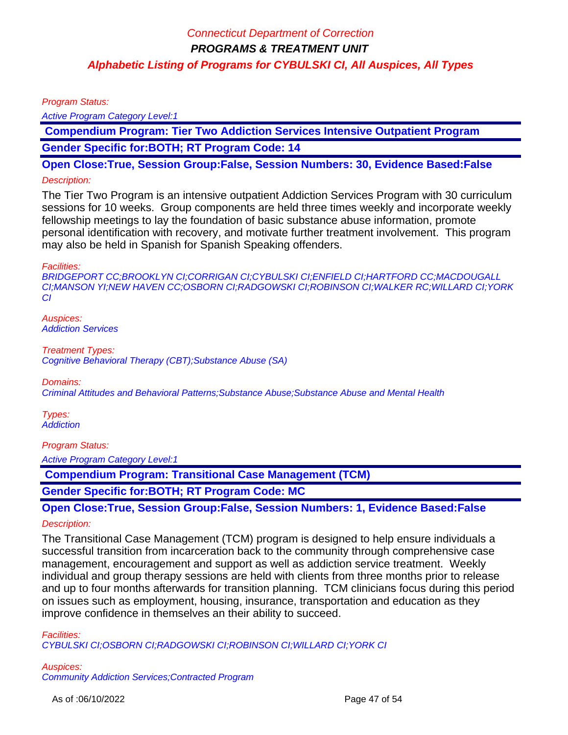Program Status:

Active Program Category Level:1

 **Compendium Program: Tier Two Addiction Services Intensive Outpatient Program Gender Specific for:BOTH; RT Program Code: 14**

**Open Close:True, Session Group:False, Session Numbers: 30, Evidence Based:False**

#### Description:

The Tier Two Program is an intensive outpatient Addiction Services Program with 30 curriculum sessions for 10 weeks. Group components are held three times weekly and incorporate weekly fellowship meetings to lay the foundation of basic substance abuse information, promote personal identification with recovery, and motivate further treatment involvement. This program may also be held in Spanish for Spanish Speaking offenders.

Facilities:

BRIDGEPORT CC;BROOKLYN CI;CORRIGAN CI;CYBULSKI CI;ENFIELD CI;HARTFORD CC;MACDOUGALL CI;MANSON YI;NEW HAVEN CC;OSBORN CI;RADGOWSKI CI;ROBINSON CI;WALKER RC;WILLARD CI;YORK CI

Auspices: Addiction Services

Treatment Types: Cognitive Behavioral Therapy (CBT);Substance Abuse (SA)

Domains:

Criminal Attitudes and Behavioral Patterns;Substance Abuse;Substance Abuse and Mental Health

Types: **Addiction** 

Program Status:

Active Program Category Level:1

 **Compendium Program: Transitional Case Management (TCM)**

**Gender Specific for:BOTH; RT Program Code: MC**

**Open Close:True, Session Group:False, Session Numbers: 1, Evidence Based:False**

Description:

The Transitional Case Management (TCM) program is designed to help ensure individuals a successful transition from incarceration back to the community through comprehensive case management, encouragement and support as well as addiction service treatment. Weekly individual and group therapy sessions are held with clients from three months prior to release and up to four months afterwards for transition planning. TCM clinicians focus during this period on issues such as employment, housing, insurance, transportation and education as they improve confidence in themselves an their ability to succeed.

Facilities: CYBULSKI CI;OSBORN CI;RADGOWSKI CI;ROBINSON CI;WILLARD CI;YORK CI

Auspices: Community Addiction Services;Contracted Program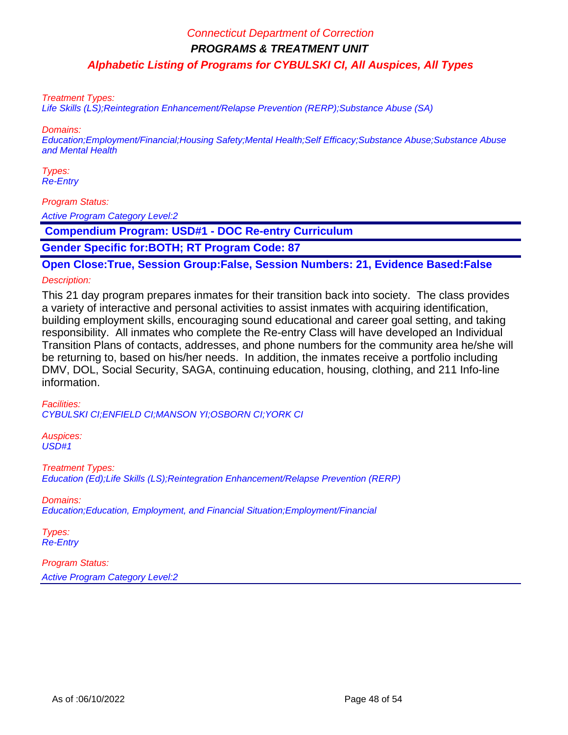**PROGRAMS & TREATMENT UNIT**

**Alphabetic Listing of Programs for CYBULSKI CI, All Auspices, All Types**

Treatment Types:

Life Skills (LS);Reintegration Enhancement/Relapse Prevention (RERP);Substance Abuse (SA)

Domains:

Education;Employment/Financial;Housing Safety;Mental Health;Self Efficacy;Substance Abuse;Substance Abuse and Mental Health

Types: Re-Entry

Program Status:

Active Program Category Level:2

 **Compendium Program: USD#1 - DOC Re-entry Curriculum**

**Gender Specific for:BOTH; RT Program Code: 87**

**Open Close:True, Session Group:False, Session Numbers: 21, Evidence Based:False** Description:

This 21 day program prepares inmates for their transition back into society. The class provides a variety of interactive and personal activities to assist inmates with acquiring identification, building employment skills, encouraging sound educational and career goal setting, and taking responsibility. All inmates who complete the Re-entry Class will have developed an Individual Transition Plans of contacts, addresses, and phone numbers for the community area he/she will be returning to, based on his/her needs. In addition, the inmates receive a portfolio including DMV, DOL, Social Security, SAGA, continuing education, housing, clothing, and 211 Info-line information.

Facilities: CYBULSKI CI;ENFIELD CI;MANSON YI;OSBORN CI;YORK CI

Auspices: USD#1

Treatment Types: Education (Ed);Life Skills (LS);Reintegration Enhancement/Relapse Prevention (RERP)

Domains: Education;Education, Employment, and Financial Situation;Employment/Financial

Types: Re-Entry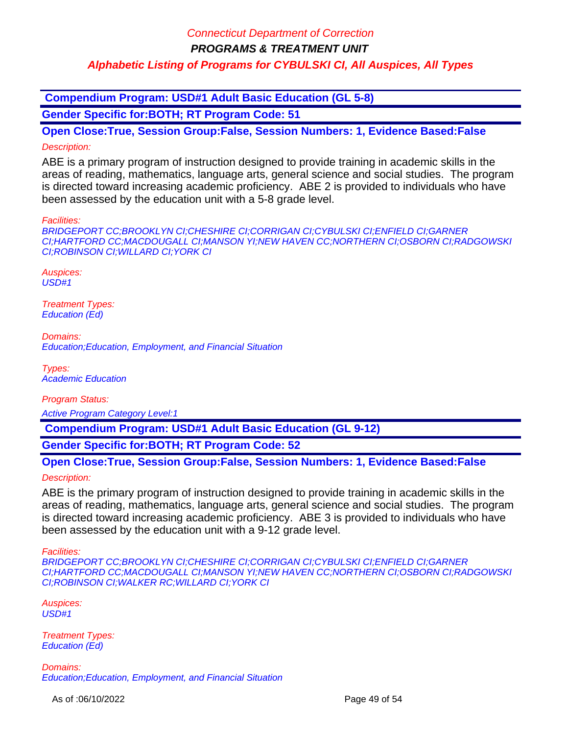**Compendium Program: USD#1 Adult Basic Education (GL 5-8)**

**Gender Specific for:BOTH; RT Program Code: 51**

**Open Close:True, Session Group:False, Session Numbers: 1, Evidence Based:False** Description:

ABE is a primary program of instruction designed to provide training in academic skills in the areas of reading, mathematics, language arts, general science and social studies. The program is directed toward increasing academic proficiency. ABE 2 is provided to individuals who have been assessed by the education unit with a 5-8 grade level.

Facilities:

BRIDGEPORT CC;BROOKLYN CI;CHESHIRE CI;CORRIGAN CI;CYBULSKI CI;ENFIELD CI;GARNER CI;HARTFORD CC;MACDOUGALL CI;MANSON YI;NEW HAVEN CC;NORTHERN CI;OSBORN CI;RADGOWSKI CI;ROBINSON CI;WILLARD CI;YORK CI

Auspices: USD#1

Treatment Types: Education (Ed)

Domains: Education;Education, Employment, and Financial Situation

Types: Academic Education

Program Status:

Active Program Category Level:1

 **Compendium Program: USD#1 Adult Basic Education (GL 9-12)**

**Gender Specific for:BOTH; RT Program Code: 52**

**Open Close:True, Session Group:False, Session Numbers: 1, Evidence Based:False**

Description:

ABE is the primary program of instruction designed to provide training in academic skills in the areas of reading, mathematics, language arts, general science and social studies. The program is directed toward increasing academic proficiency. ABE 3 is provided to individuals who have been assessed by the education unit with a 9-12 grade level.

Facilities:

BRIDGEPORT CC;BROOKLYN CI;CHESHIRE CI;CORRIGAN CI;CYBULSKI CI;ENFIELD CI;GARNER CI;HARTFORD CC;MACDOUGALL CI;MANSON YI;NEW HAVEN CC;NORTHERN CI;OSBORN CI;RADGOWSKI CI;ROBINSON CI;WALKER RC;WILLARD CI;YORK CI

Auspices:  $USD#1$ 

Treatment Types: Education (Ed)

Domains: Education;Education, Employment, and Financial Situation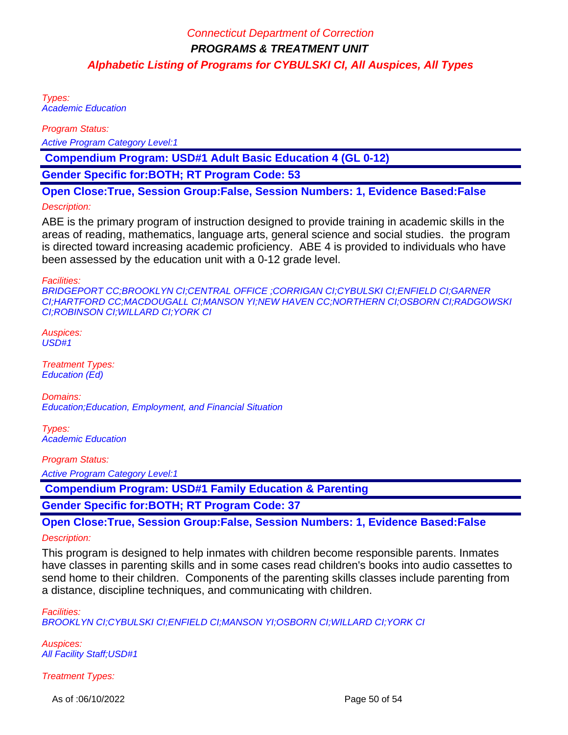Types: Academic Education

Program Status:

Active Program Category Level:1

 **Compendium Program: USD#1 Adult Basic Education 4 (GL 0-12)**

**Gender Specific for:BOTH; RT Program Code: 53**

**Open Close:True, Session Group:False, Session Numbers: 1, Evidence Based:False**

#### Description:

ABE is the primary program of instruction designed to provide training in academic skills in the areas of reading, mathematics, language arts, general science and social studies. the program is directed toward increasing academic proficiency. ABE 4 is provided to individuals who have been assessed by the education unit with a 0-12 grade level.

Facilities:

BRIDGEPORT CC;BROOKLYN CI;CENTRAL OFFICE ;CORRIGAN CI;CYBULSKI CI;ENFIELD CI;GARNER CI;HARTFORD CC;MACDOUGALL CI;MANSON YI;NEW HAVEN CC;NORTHERN CI;OSBORN CI;RADGOWSKI CI;ROBINSON CI;WILLARD CI;YORK CI

Auspices: USD#1

Treatment Types: Education (Ed)

Domains: Education;Education, Employment, and Financial Situation

Types: Academic Education

Program Status:

Active Program Category Level:1

 **Compendium Program: USD#1 Family Education & Parenting**

**Gender Specific for:BOTH; RT Program Code: 37**

**Open Close:True, Session Group:False, Session Numbers: 1, Evidence Based:False**

#### Description:

This program is designed to help inmates with children become responsible parents. Inmates have classes in parenting skills and in some cases read children's books into audio cassettes to send home to their children. Components of the parenting skills classes include parenting from a distance, discipline techniques, and communicating with children.

Facilities:

BROOKLYN CI;CYBULSKI CI;ENFIELD CI;MANSON YI;OSBORN CI;WILLARD CI;YORK CI

Auspices: **All Facility Staff; USD#1** 

Treatment Types:

As of :06/10/2022 **Page 50 of 54**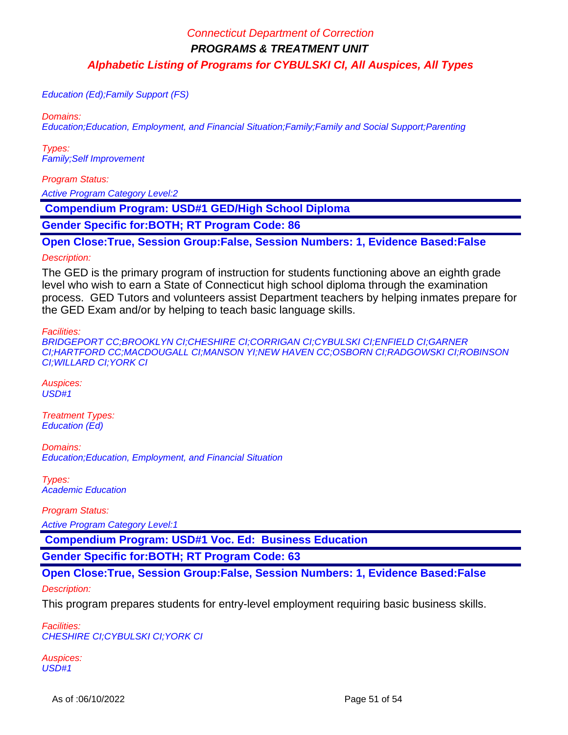Education (Ed);Family Support (FS)

Domains:

Education;Education, Employment, and Financial Situation;Family;Family and Social Support;Parenting

Types: Family;Self Improvement

Program Status:

Active Program Category Level:2

 **Compendium Program: USD#1 GED/High School Diploma**

**Gender Specific for:BOTH; RT Program Code: 86**

**Open Close:True, Session Group:False, Session Numbers: 1, Evidence Based:False**

#### Description:

The GED is the primary program of instruction for students functioning above an eighth grade level who wish to earn a State of Connecticut high school diploma through the examination process. GED Tutors and volunteers assist Department teachers by helping inmates prepare for the GED Exam and/or by helping to teach basic language skills.

Facilities:

BRIDGEPORT CC;BROOKLYN CI;CHESHIRE CI;CORRIGAN CI;CYBULSKI CI;ENFIELD CI;GARNER CI;HARTFORD CC;MACDOUGALL CI;MANSON YI;NEW HAVEN CC;OSBORN CI;RADGOWSKI CI;ROBINSON CI;WILLARD CI;YORK CI

Auspices:  $USD#1$ 

Treatment Types: Education (Ed)

Domains: Education;Education, Employment, and Financial Situation

Types: Academic Education

Program Status:

Active Program Category Level:1

 **Compendium Program: USD#1 Voc. Ed: Business Education**

**Gender Specific for:BOTH; RT Program Code: 63**

**Open Close:True, Session Group:False, Session Numbers: 1, Evidence Based:False** Description:

This program prepares students for entry-level employment requiring basic business skills.

Facilities: CHESHIRE CI;CYBULSKI CI;YORK CI

Auspices: USD#1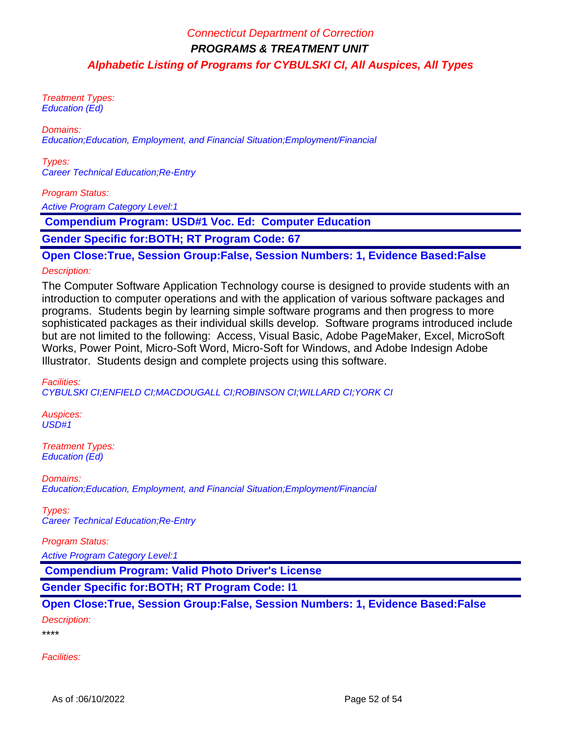Treatment Types: Education (Ed)

Domains:

Education;Education, Employment, and Financial Situation;Employment/Financial

Types: Career Technical Education;Re-Entry

#### Program Status:

Active Program Category Level:1

 **Compendium Program: USD#1 Voc. Ed: Computer Education**

**Gender Specific for:BOTH; RT Program Code: 67**

# **Open Close:True, Session Group:False, Session Numbers: 1, Evidence Based:False**

#### Description:

The Computer Software Application Technology course is designed to provide students with an introduction to computer operations and with the application of various software packages and programs. Students begin by learning simple software programs and then progress to more sophisticated packages as their individual skills develop. Software programs introduced include but are not limited to the following: Access, Visual Basic, Adobe PageMaker, Excel, MicroSoft Works, Power Point, Micro-Soft Word, Micro-Soft for Windows, and Adobe Indesign Adobe Illustrator. Students design and complete projects using this software.

Facilities:

CYBULSKI CI;ENFIELD CI;MACDOUGALL CI;ROBINSON CI;WILLARD CI;YORK CI

Auspices: USD#1

Treatment Types: Education (Ed)

Domains: Education;Education, Employment, and Financial Situation;Employment/Financial

Types: Career Technical Education;Re-Entry

Program Status:

Active Program Category Level:1

 **Compendium Program: Valid Photo Driver's License**

**Gender Specific for:BOTH; RT Program Code: I1**

# **Open Close:True, Session Group:False, Session Numbers: 1, Evidence Based:False**

Description:

\*\*\*\*

Facilities: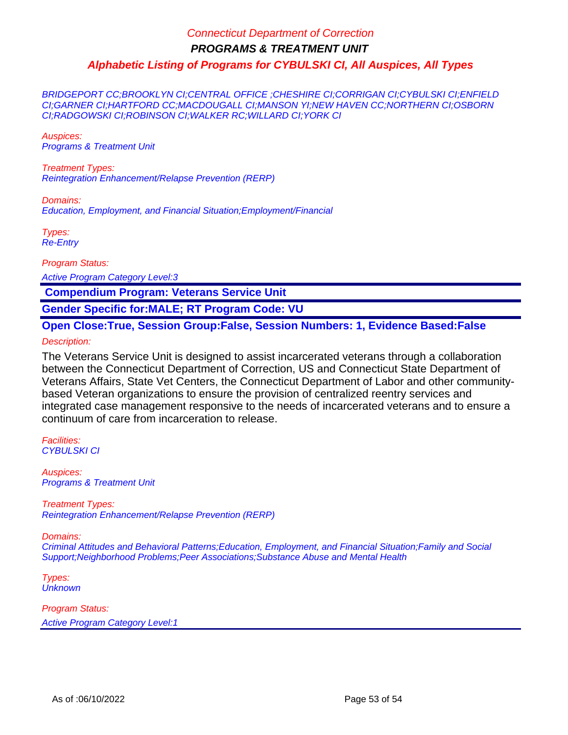BRIDGEPORT CC;BROOKLYN CI;CENTRAL OFFICE ;CHESHIRE CI;CORRIGAN CI;CYBULSKI CI;ENFIELD CI;GARNER CI;HARTFORD CC;MACDOUGALL CI;MANSON YI;NEW HAVEN CC;NORTHERN CI;OSBORN CI;RADGOWSKI CI;ROBINSON CI;WALKER RC;WILLARD CI;YORK CI

Auspices: Programs & Treatment Unit

Treatment Types: Reintegration Enhancement/Relapse Prevention (RERP)

Domains: Education, Employment, and Financial Situation;Employment/Financial

Types: Re-Entry

Program Status:

Active Program Category Level:3

 **Compendium Program: Veterans Service Unit**

**Gender Specific for:MALE; RT Program Code: VU**

**Open Close:True, Session Group:False, Session Numbers: 1, Evidence Based:False**

Description:

The Veterans Service Unit is designed to assist incarcerated veterans through a collaboration between the Connecticut Department of Correction, US and Connecticut State Department of Veterans Affairs, State Vet Centers, the Connecticut Department of Labor and other communitybased Veteran organizations to ensure the provision of centralized reentry services and integrated case management responsive to the needs of incarcerated veterans and to ensure a continuum of care from incarceration to release.

Facilities: CYBULSKI CI

Auspices: Programs & Treatment Unit

Treatment Types: Reintegration Enhancement/Relapse Prevention (RERP)

Domains:

Criminal Attitudes and Behavioral Patterns;Education, Employment, and Financial Situation;Family and Social Support;Neighborhood Problems;Peer Associations;Substance Abuse and Mental Health

Types: **Unknown**